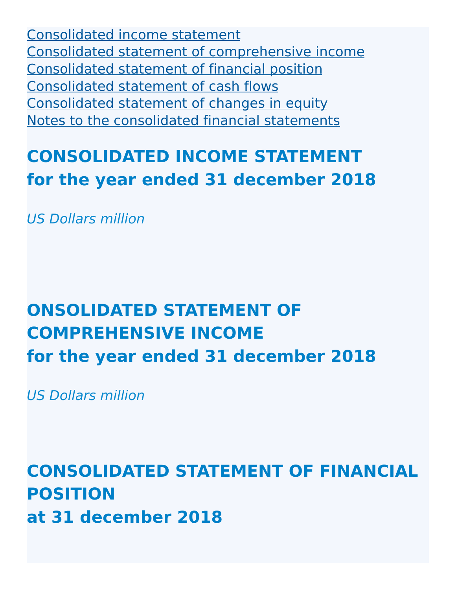[Consolidated](http://127.0.0.1:8089/ar/en/financial-overview/ifrs/statements#consolidated-income-statement) income statement Consolidated statement of [comprehensive](http://127.0.0.1:8089/ar/en/financial-overview/ifrs/statements#consolidated-statement-of-comprehensive-income) income [Consolidated](http://127.0.0.1:8089/ar/en/financial-overview/ifrs/statements#consolidated-statement-of-financial-position) statement of financial position [Consolidated](http://127.0.0.1:8089/ar/en/financial-overview/ifrs/statements#consolidated-statement-of-cash-flows) statement of cash flows [Consolidated](http://127.0.0.1:8089/ar/en/financial-overview/ifrs/statements#consolidated-statement-of-changes-in-equity) statement of changes in equity Notes to the [consolidated](http://127.0.0.1:8089/ar/en/financial-overview/ifrs/statements#notes) financial statements

# **CONSOLIDATED INCOME STATEMENT for the year ended 31 december 2018**

US Dollars million

# **ONSOLIDATED STATEMENT OF COMPREHENSIVE INCOME for the year ended 31 december 2018**

US Dollars million

**CONSOLIDATED STATEMENT OF FINANCIAL POSITION at 31 december 2018**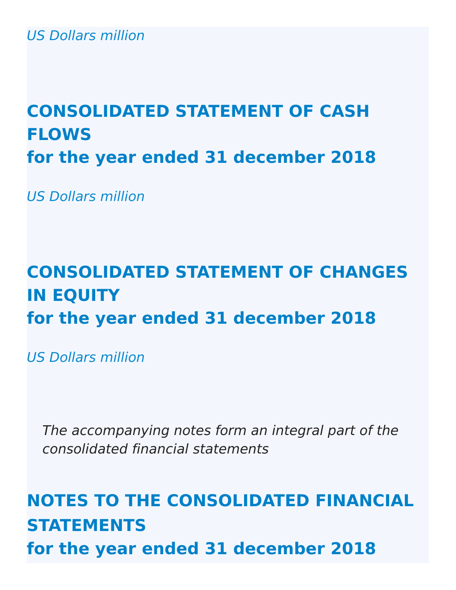US Dollars million

# **CONSOLIDATED STATEMENT OF CASH FLOWS for the year ended 31 december 2018**

US Dollars million

# **CONSOLIDATED STATEMENT OF CHANGES IN EQUITY for the year ended 31 december 2018**

US Dollars million

The accompanying notes form an integral part of the consolidated financial statements

# **NOTES TO THE CONSOLIDATED FINANCIAL STATEMENTS for the year ended 31 december 2018**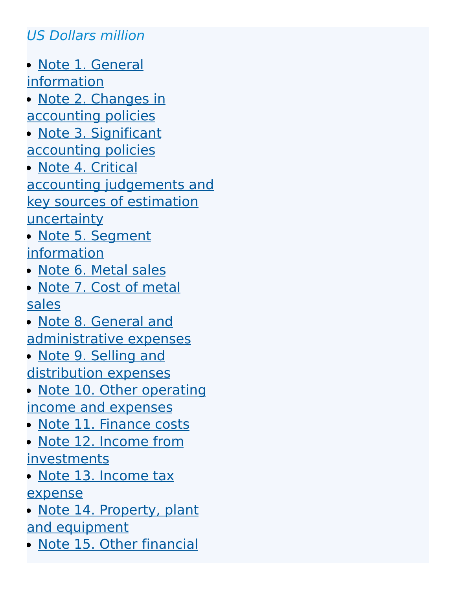# US Dollars million

- Note 1. General [information](http://127.0.0.1:8089/ar/en/financial-overview/ifrs/statements#note-1)
- Note 2. Changes in [accounting](http://127.0.0.1:8089/ar/en/financial-overview/ifrs/statements#note-2) policies
- · Note 3. Significant [accounting](http://127.0.0.1:8089/ar/en/financial-overview/ifrs/statements#note-3) policies
- Note 4. Critical accounting [judgements](http://127.0.0.1:8089/ar/en/financial-overview/ifrs/statements#note-4) and key sources of estimation **uncertainty**
- Note 5. Segment [information](http://127.0.0.1:8089/ar/en/financial-overview/ifrs/statements#note-5)
- Note 6. [Metal](http://127.0.0.1:8089/ar/en/financial-overview/ifrs/statements#note-6) sales
- Note 7. Cost of [metal](http://127.0.0.1:8089/ar/en/financial-overview/ifrs/statements#note-7) sales
- Note 8. General and [administrative](http://127.0.0.1:8089/ar/en/financial-overview/ifrs/statements#note-8) expenses
- Note 9. Selling and [distribution](http://127.0.0.1:8089/ar/en/financial-overview/ifrs/statements#note-9) expenses
- Note 10. Other [operating](http://127.0.0.1:8089/ar/en/financial-overview/ifrs/statements#note-10) income and expenses
- · Note 11. [Finance](http://127.0.0.1:8089/ar/en/financial-overview/ifrs/statements#note-11) costs
- Note 12. Income from [investments](http://127.0.0.1:8089/ar/en/financial-overview/ifrs/statements#note-12)
- Note 13. Income tax [expense](http://127.0.0.1:8089/ar/en/financial-overview/ifrs/statements#note-13)
- Note 14. Property, plant and [equipment](http://127.0.0.1:8089/ar/en/financial-overview/ifrs/statements#note-14)
- Note 15. Other [financial](http://127.0.0.1:8089/ar/en/financial-overview/ifrs/statements#note-15)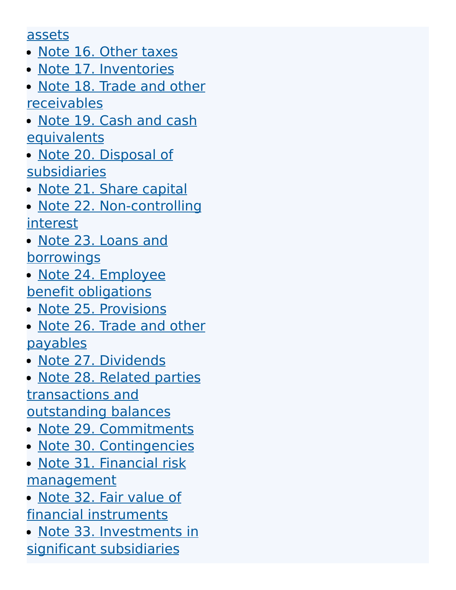#### [assets](http://127.0.0.1:8089/ar/en/financial-overview/ifrs/statements#note-15)

- Note 16. [Other](http://127.0.0.1:8089/ar/en/financial-overview/ifrs/statements#note-16) taxes
- Note 17. [Inventories](http://127.0.0.1:8089/ar/en/financial-overview/ifrs/statements#note-17)
- Note 18. Trade and other [receivables](http://127.0.0.1:8089/ar/en/financial-overview/ifrs/statements#note-18)
- Note 19. Cash and cash **[equivalents](http://127.0.0.1:8089/ar/en/financial-overview/ifrs/statements#note-19)**
- Note 20. Disposal of [subsidiaries](http://127.0.0.1:8089/ar/en/financial-overview/ifrs/statements#note-20)
- Note 21. Share [capital](http://127.0.0.1:8089/ar/en/financial-overview/ifrs/statements#note-21)
- Note 22. [Non-controlling](http://127.0.0.1:8089/ar/en/financial-overview/ifrs/statements#note-22) interest
- Note 23. Loans and **[borrowings](http://127.0.0.1:8089/ar/en/financial-overview/ifrs/statements#note-23)**
- Note 24. Employee benefit [obligations](http://127.0.0.1:8089/ar/en/financial-overview/ifrs/statements#note-24)
- Note 25. [Provisions](http://127.0.0.1:8089/ar/en/financial-overview/ifrs/statements#note-25)
- Note 26. Trade and other [payables](http://127.0.0.1:8089/ar/en/financial-overview/ifrs/statements#note-26)
- · Note 27. [Dividends](http://127.0.0.1:8089/ar/en/financial-overview/ifrs/statements#note-27)
- Note 28. Related parties [transactions](http://127.0.0.1:8089/ar/en/financial-overview/ifrs/statements#note-28) and outstanding balances
- Note 29. [Commitments](http://127.0.0.1:8089/ar/en/financial-overview/ifrs/statements#note-29)
- Note 30. [Contingencies](http://127.0.0.1:8089/ar/en/financial-overview/ifrs/statements#note-30)
- Note 31. Financial risk [management](http://127.0.0.1:8089/ar/en/financial-overview/ifrs/statements#note-31)
- Note 32. Fair value of financial [instruments](http://127.0.0.1:8089/ar/en/financial-overview/ifrs/statements#note-32)
- Note 33. [Investments](http://127.0.0.1:8089/ar/en/financial-overview/ifrs/statements#note-33) in significant subsidiaries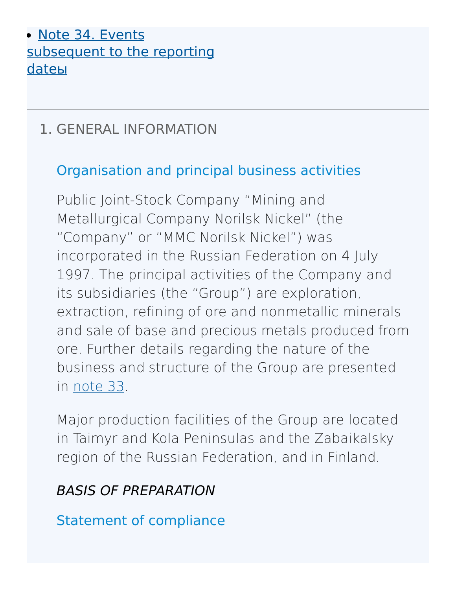### • Note 34. Events [subsequent](http://127.0.0.1:8089/ar/en/financial-overview/ifrs/statements#note-34) to the reporting dateы

## 1. GENERAL [INFORMATION](http://127.0.0.1:8089/ar/en/financial-overview/ifrs/statements#note-1)

## Organisation and principal business activities

Public Joint-Stock Company "Mining and Metallurgical Company Norilsk Nickel" (the "Company" or "MMC Norilsk Nickel") was incorporated in the Russian Federation on 4 July 1997. The principal activities of the Company and its subsidiaries (the "Group") are exploration, extraction, refining of ore and nonmetallic minerals and sale of base and precious metals produced from ore. Further details regarding the nature of the business and structure of the Group are presented in [note](http://127.0.0.1:8089/ar/en/financial-overview/ifrs/statements#note-33) 33.

Major production facilities of the Group are located in Taimyr and Kola Peninsulas and the Zabaikalsky region of the Russian Federation, and in Finland.

### BASIS OF PREPARATION

Statement of compliance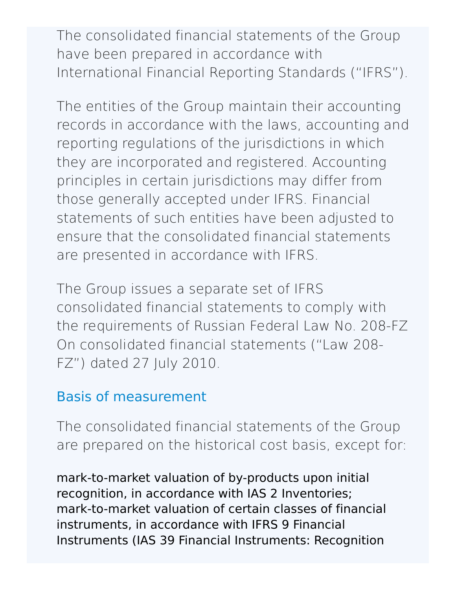The consolidated financial statements of the Group have been prepared in accordance with International Financial Reporting Standards ("IFRS").

The entities of the Group maintain their accounting records in accordance with the laws, accounting and reporting regulations of the jurisdictions in which they are incorporated and registered. Accounting principles in certain jurisdictions may differ from those generally accepted under IFRS. Financial statements of such entities have been adjusted to ensure that the consolidated financial statements are presented in accordance with IFRS.

The Group issues a separate set of IFRS consolidated financial statements to comply with the requirements of Russian Federal Law No. 208-FZ On consolidated financial statements ("Law 208- FZ") dated 27 July 2010.

### Basis of measurement

The consolidated financial statements of the Group are prepared on the historical cost basis, except for:

mark-to-market valuation of by-products upon initial recognition, in accordance with IAS 2 Inventories; mark-to-market valuation of certain classes of financial instruments, in accordance with IFRS 9 Financial Instruments (IAS 39 Financial Instruments: Recognition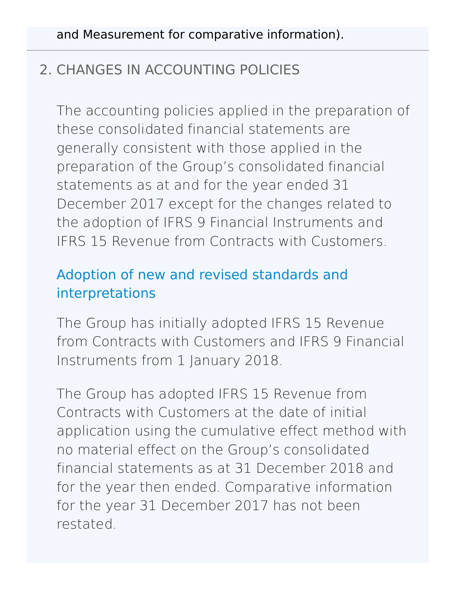## 2. CHANGES IN [ACCOUNTING](http://127.0.0.1:8089/ar/en/financial-overview/ifrs/statements#note-2) POLICIES

The accounting policies applied in the preparation of these consolidated financial statements are generally consistent with those applied in the preparation of the Group's consolidated financial statements as at and for the year ended 31 December 2017 except for the changes related to the adoption of IFRS 9 Financial Instruments and IFRS 15 Revenue from Contracts with Customers.

## Adoption of new and revised standards and interpretations

The Group has initially adopted IFRS 15 Revenue from Contracts with Customers and IFRS 9 Financial Instruments from 1 January 2018.

The Group has adopted IFRS 15 Revenue from Contracts with Customers at the date of initial application using the cumulative effect method with no material effect on the Group's consolidated financial statements as at 31 December 2018 and for the year then ended. Comparative information for the year 31 December 2017 has not been restated.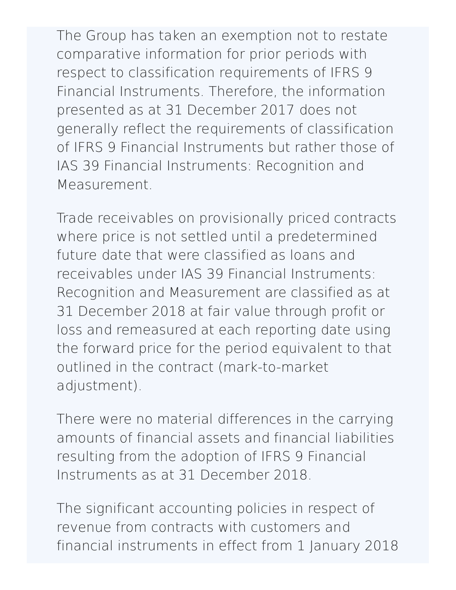The Group has taken an exemption not to restate comparative information for prior periods with respect to classification requirements of IFRS 9 Financial Instruments. Therefore, the information presented as at 31 December 2017 does not generally reflect the requirements of classification of IFRS 9 Financial Instruments but rather those of IAS 39 Financial Instruments: Recognition and Measurement.

Trade receivables on provisionally priced contracts where price is not settled until a predetermined future date that were classified as loans and receivables under IAS 39 Financial Instruments: Recognition and Measurement are classified as at 31 December 2018 at fair value through profit or loss and remeasured at each reporting date using the forward price for the period equivalent to that outlined in the contract (mark-to-market adjustment).

There were no material differences in the carrying amounts of financial assets and financial liabilities resulting from the adoption of IFRS 9 Financial Instruments as at 31 December 2018.

The significant accounting policies in respect of revenue from contracts with customers and financial instruments in effect from 1 January 2018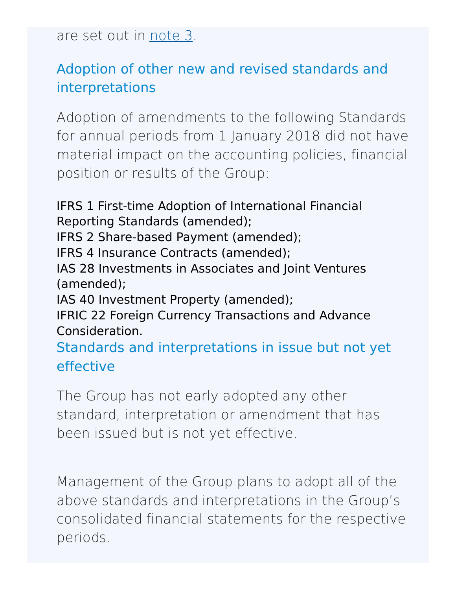are set out in [note](http://127.0.0.1:8089/ar/en/financial-overview/ifrs/statements#note-3) 3.

## Adoption of other new and revised standards and interpretations

Adoption of amendments to the following Standards for annual periods from 1 January 2018 did not have material impact on the accounting policies, financial position or results of the Group:

IFRS 1 First-time Adoption of International Financial Reporting Standards (amended); IFRS 2 Share-based Payment (amended); IFRS 4 Insurance Contracts (amended); IAS 28 Investments in Associates and Joint Ventures (amended); IAS 40 Investment Property (amended); IFRIC 22 Foreign Currency Transactions and Advance Consideration. Standards and interpretations in issue but not yet effective

The Group has not early adopted any other standard, interpretation or amendment that has been issued but is not yet effective.

Management of the Group plans to adopt all of the above standards and interpretations in the Group's consolidated financial statements for the respective periods.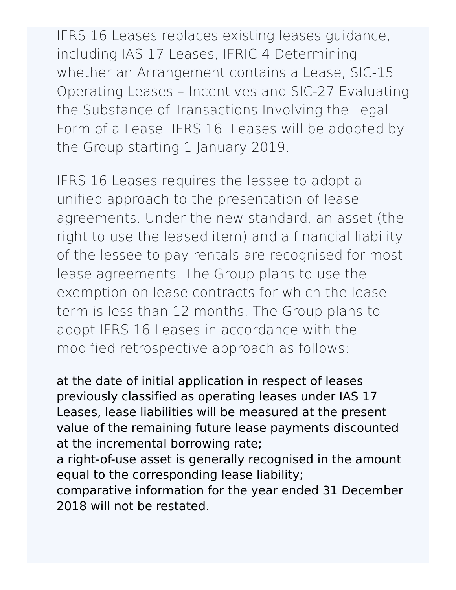IFRS 16 Leases replaces existing leases guidance, including IAS 17 Leases, IFRIC 4 Determining whether an Arrangement contains a Lease, SIC-15 Operating Leases – Incentives and SIC-27 Evaluating the Substance of Transactions Involving the Legal Form of a Lease. IFRS 16 Leases will be adopted by the Group starting 1 January 2019.

IFRS 16 Leases requires the lessee to adopt a unified approach to the presentation of lease agreements. Under the new standard, an asset (the right to use the leased item) and a financial liability of the lessee to pay rentals are recognised for most lease agreements. The Group plans to use the exemption on lease contracts for which the lease term is less than 12 months. The Group plans to adopt IFRS 16 Leases in accordance with the modified retrospective approach as follows:

at the date of initial application in respect of leases previously classified as operating leases under IAS 17 Leases, lease liabilities will be measured at the present value of the remaining future lease payments discounted at the incremental borrowing rate;

a right-of-use asset is generally recognised in the amount equal to the corresponding lease liability;

comparative information for the year ended 31 December 2018 will not be restated.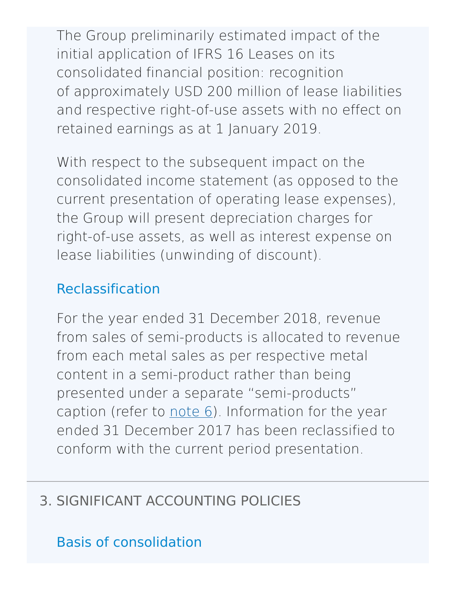The Group preliminarily estimated impact of the initial application of IFRS 16 Leases on its consolidated financial position: recognition of approximately USD 200 million of lease liabilities and respective right-of-use assets with no effect on retained earnings as at 1 January 2019.

With respect to the subsequent impact on the consolidated income statement (as opposed to the current presentation of operating lease expenses), the Group will present depreciation charges for right-of-use assets, as well as interest expense on lease liabilities (unwinding of discount).

## Reclassification

For the year ended 31 December 2018, revenue from sales of semi-products is allocated to revenue from each metal sales as per respective metal content in a semi-product rather than being presented under a separate "semi-products" caption (refer to  $note 6$  $note 6$ ). Information for the year ended 31 December 2017 has been reclassified to conform with the current period presentation.

# 3. SIGNIFICANT [ACCOUNTING](http://127.0.0.1:8089/ar/en/financial-overview/ifrs/statements#note-3) POLICIES

# Basis of consolidation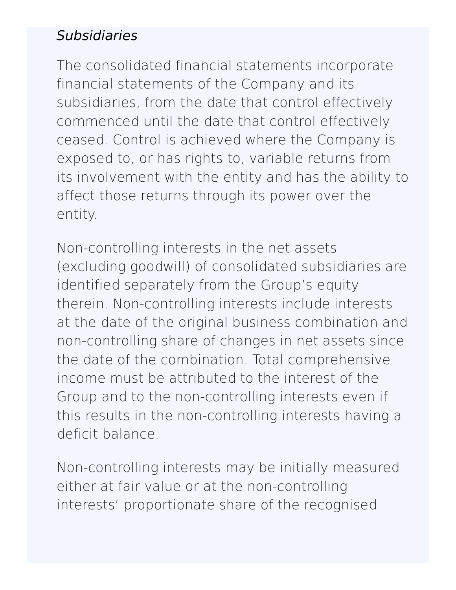## **Subsidiaries**

The consolidated financial statements incorporate financial statements of the Company and its subsidiaries, from the date that control effectively commenced until the date that control effectively ceased. Control is achieved where the Company is exposed to, or has rights to, variable returns from its involvement with the entity and has the ability to affect those returns through its power over the entity.

Non-controlling interests in the net assets (excluding goodwill) of consolidated subsidiaries are identified separately from the Group's equity therein. Non-controlling interests include interests at the date of the original business combination and non-controlling share of changes in net assets since the date of the combination. Total comprehensive income must be attributed to the interest of the Group and to the non-controlling interests even if this results in the non-controlling interests having a deficit balance.

Non-controlling interests may be initially measured either at fair value or at the non-controlling interests' proportionate share of the recognised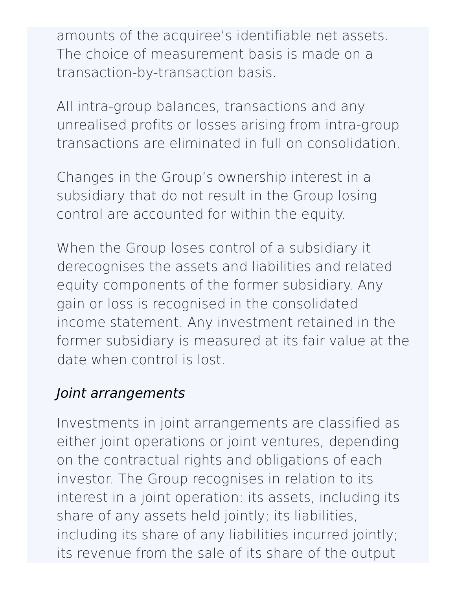amounts of the acquiree's identifiable net assets. The choice of measurement basis is made on a transaction-by-transaction basis.

All intra-group balances, transactions and any unrealised profits or losses arising from intra-group transactions are eliminated in full on consolidation.

Changes in the Group's ownership interest in a subsidiary that do not result in the Group losing control are accounted for within the equity.

When the Group loses control of a subsidiary it derecognises the assets and liabilities and related equity components of the former subsidiary. Any gain or loss is recognised in the consolidated income statement. Any investment retained in the former subsidiary is measured at its fair value at the date when control is lost.

### Joint arrangements

Investments in joint arrangements are classified as either joint operations or joint ventures, depending on the contractual rights and obligations of each investor. The Group recognises in relation to its interest in a joint operation: its assets, including its share of any assets held jointly; its liabilities, including its share of any liabilities incurred jointly; its revenue from the sale of its share of the output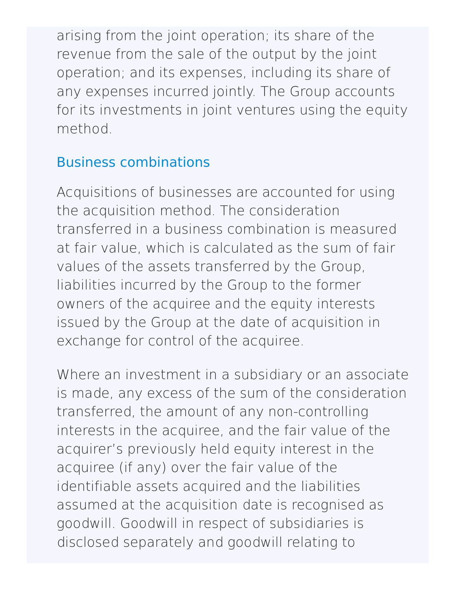arising from the joint operation; its share of the revenue from the sale of the output by the joint operation; and its expenses, including its share of any expenses incurred jointly. The Group accounts for its investments in joint ventures using the equity method.

# Business combinations

Acquisitions of businesses are accounted for using the acquisition method. The consideration transferred in a business combination is measured at fair value, which is calculated as the sum of fair values of the assets transferred by the Group, liabilities incurred by the Group to the former owners of the acquiree and the equity interests issued by the Group at the date of acquisition in exchange for control of the acquiree.

Where an investment in a subsidiary or an associate is made, any excess of the sum of the consideration transferred, the amount of any non-controlling interests in the acquiree, and the fair value of the acquirer's previously held equity interest in the acquiree (if any) over the fair value of the identifiable assets acquired and the liabilities assumed at the acquisition date is recognised as goodwill. Goodwill in respect of subsidiaries is disclosed separately and goodwill relating to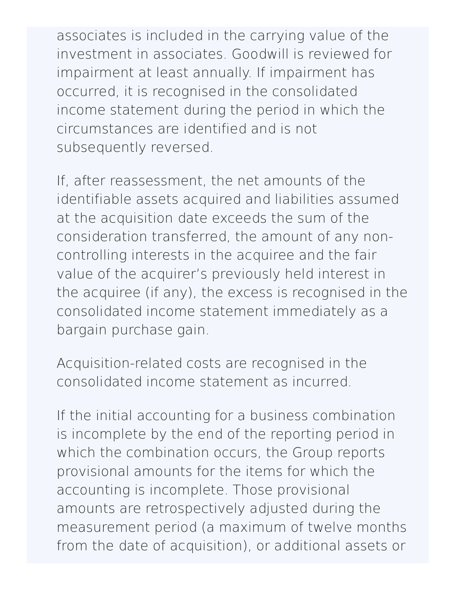associates is included in the carrying value of the investment in associates. Goodwill is reviewed for impairment at least annually. If impairment has occurred, it is recognised in the consolidated income statement during the period in which the circumstances are identified and is not subsequently reversed.

If, after reassessment, the net amounts of the identifiable assets acquired and liabilities assumed at the acquisition date exceeds the sum of the consideration transferred, the amount of any noncontrolling interests in the acquiree and the fair value of the acquirer's previously held interest in the acquiree (if any), the excess is recognised in the consolidated income statement immediately as a bargain purchase gain.

Acquisition-related costs are recognised in the consolidated income statement as incurred.

If the initial accounting for a business combination is incomplete by the end of the reporting period in which the combination occurs, the Group reports provisional amounts for the items for which the accounting is incomplete. Those provisional amounts are retrospectively adjusted during the measurement period (a maximum of twelve months from the date of acquisition), or additional assets or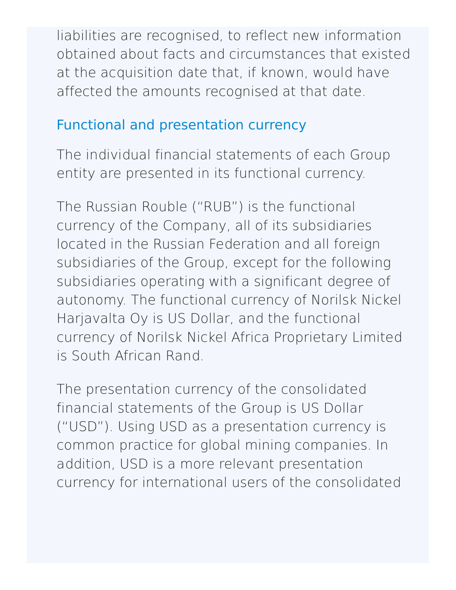liabilities are recognised, to reflect new information obtained about facts and circumstances that existed at the acquisition date that, if known, would have affected the amounts recognised at that date.

### Functional and presentation currency

The individual financial statements of each Group entity are presented in its functional currency.

The Russian Rouble ("RUB") is the functional currency of the Company, all of its subsidiaries located in the Russian Federation and all foreign subsidiaries of the Group, except for the following subsidiaries operating with a significant degree of autonomy. The functional currency of Norilsk Nickel Harjavalta Oy is US Dollar, and the functional currency of Norilsk Nickel Africa Proprietary Limited is South African Rand.

The presentation currency of the consolidated financial statements of the Group is US Dollar ("USD"). Using USD as a presentation currency is common practice for global mining companies. In addition, USD is a more relevant presentation currency for international users of the consolidated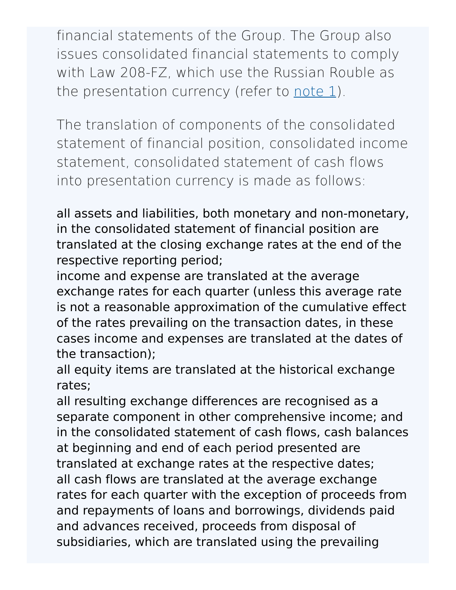financial statements of the Group. The Group also issues consolidated financial statements to comply with Law 208-FZ, which use the Russian Rouble as the presentation currency (refer to [note](http://127.0.0.1:8089/ar/en/financial-overview/ifrs/statements#note-1)  $1$ ).

The translation of components of the consolidated statement of financial position, consolidated income statement, consolidated statement of cash flows into presentation currency is made as follows:

all assets and liabilities, both monetary and non-monetary, in the consolidated statement of financial position are translated at the closing exchange rates at the end of the respective reporting period;

income and expense are translated at the average exchange rates for each quarter (unless this average rate is not a reasonable approximation of the cumulative effect of the rates prevailing on the transaction dates, in these cases income and expenses are translated at the dates of the transaction);

all equity items are translated at the historical exchange rates;

all resulting exchange differences are recognised as a separate component in other comprehensive income; and in the consolidated statement of cash flows, cash balances at beginning and end of each period presented are translated at exchange rates at the respective dates; all cash flows are translated at the average exchange rates for each quarter with the exception of proceeds from and repayments of loans and borrowings, dividends paid and advances received, proceeds from disposal of subsidiaries, which are translated using the prevailing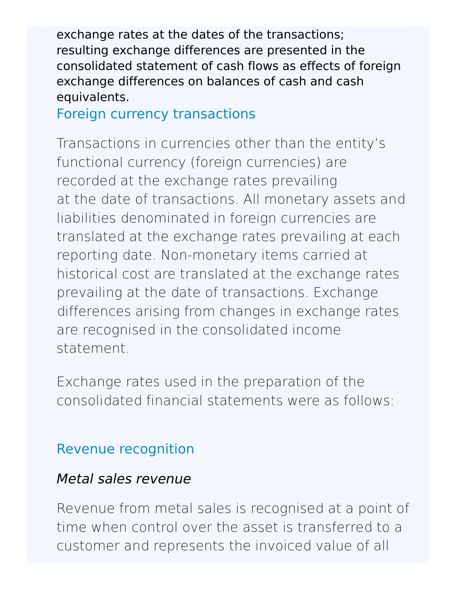exchange rates at the dates of the transactions; resulting exchange differences are presented in the consolidated statement of cash flows as effects of foreign exchange differences on balances of cash and cash equivalents.

Foreign currency transactions

Transactions in currencies other than the entity's functional currency (foreign currencies) are recorded at the exchange rates prevailing at the date of transactions. All monetary assets and liabilities denominated in foreign currencies are translated at the exchange rates prevailing at each reporting date. Non-monetary items carried at historical cost are translated at the exchange rates prevailing at the date of transactions. Exchange differences arising from changes in exchange rates are recognised in the consolidated income statement.

Exchange rates used in the preparation of the consolidated financial statements were as follows:

### Revenue recognition

#### Metal sales revenue

Revenue from metal sales is recognised at a point of time when control over the asset is transferred to a customer and represents the invoiced value of all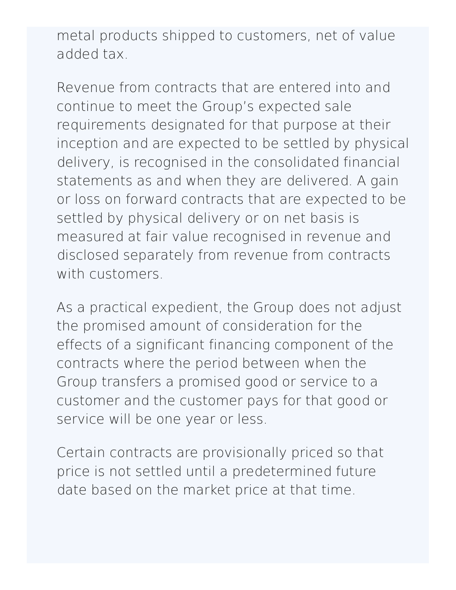metal products shipped to customers, net of value added tax.

Revenue from contracts that are entered into and continue to meet the Group's expected sale requirements designated for that purpose at their inception and are expected to be settled by physical delivery, is recognised in the consolidated financial statements as and when they are delivered. A gain or loss on forward contracts that are expected to be settled by physical delivery or on net basis is measured at fair value recognised in revenue and disclosed separately from revenue from contracts with customers.

As a practical expedient, the Group does not adjust the promised amount of consideration for the effects of a significant financing component of the contracts where the period between when the Group transfers a promised good or service to a customer and the customer pays for that good or service will be one year or less.

Certain contracts are provisionally priced so that price is not settled until a predetermined future date based on the market price at that time.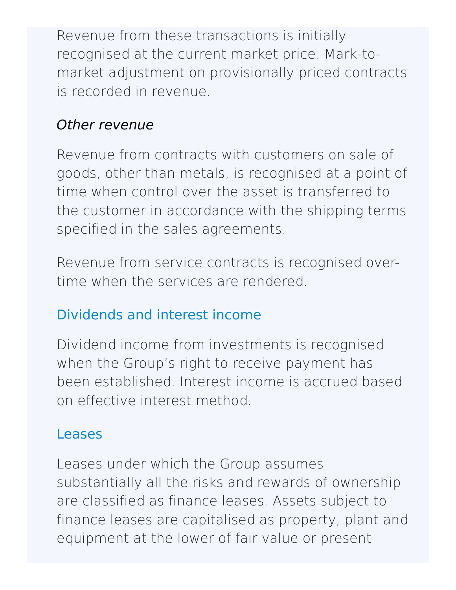Revenue from these transactions is initially recognised at the current market price. Mark-tomarket adjustment on provisionally priced contracts is recorded in revenue.

#### Other revenue

Revenue from contracts with customers on sale of goods, other than metals, is recognised at a point of time when control over the asset is transferred to the customer in accordance with the shipping terms specified in the sales agreements.

Revenue from service contracts is recognised overtime when the services are rendered.

# Dividends and interest income

Dividend income from investments is recognised when the Group's right to receive payment has been established. Interest income is accrued based on effective interest method.

### Leases

Leases under which the Group assumes substantially all the risks and rewards of ownership are classified as finance leases. Assets subject to finance leases are capitalised as property, plant and equipment at the lower of fair value or present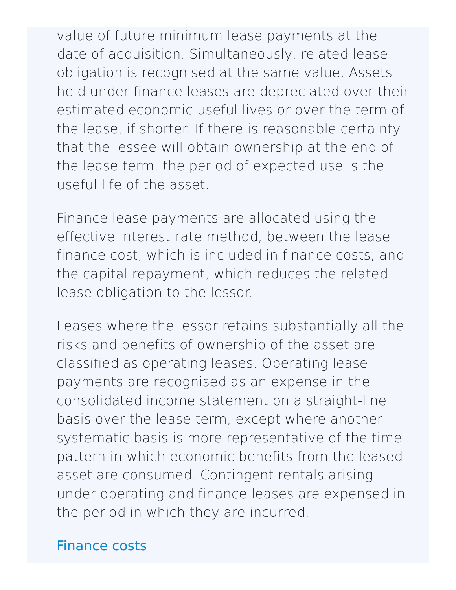value of future minimum lease payments at the date of acquisition. Simultaneously, related lease obligation is recognised at the same value. Assets held under finance leases are depreciated over their estimated economic useful lives or over the term of the lease, if shorter. If there is reasonable certainty that the lessee will obtain ownership at the end of the lease term, the period of expected use is the useful life of the asset.

Finance lease payments are allocated using the effective interest rate method, between the lease finance cost, which is included in finance costs, and the capital repayment, which reduces the related lease obligation to the lessor.

Leases where the lessor retains substantially all the risks and benefits of ownership of the asset are classified as operating leases. Operating lease payments are recognised as an expense in the consolidated income statement on a straight-line basis over the lease term, except where another systematic basis is more representative of the time pattern in which economic benefits from the leased asset are consumed. Contingent rentals arising under operating and finance leases are expensed in the period in which they are incurred.

#### Finance costs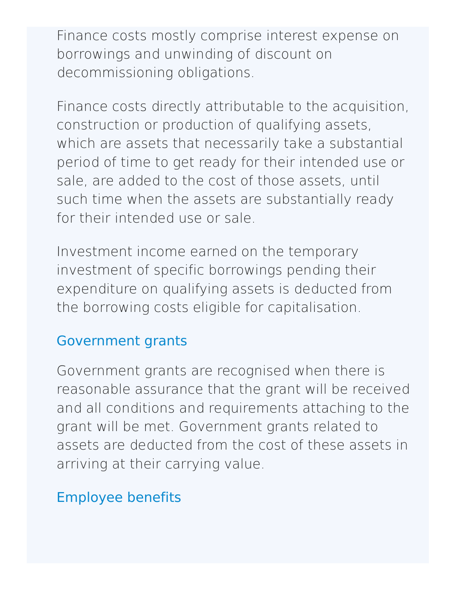Finance costs mostly comprise interest expense on borrowings and unwinding of discount on decommissioning obligations.

Finance costs directly attributable to the acquisition, construction or production of qualifying assets, which are assets that necessarily take a substantial period of time to get ready for their intended use or sale, are added to the cost of those assets, until such time when the assets are substantially ready for their intended use or sale.

Investment income earned on the temporary investment of specific borrowings pending their expenditure on qualifying assets is deducted from the borrowing costs eligible for capitalisation.

## Government grants

Government grants are recognised when there is reasonable assurance that the grant will be received and all conditions and requirements attaching to the grant will be met. Government grants related to assets are deducted from the cost of these assets in arriving at their carrying value.

## Employee benefits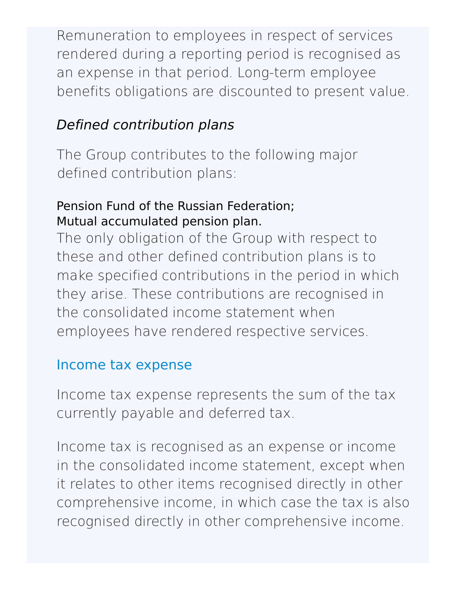Remuneration to employees in respect of services rendered during a reporting period is recognised as an expense in that period. Long-term employee benefits obligations are discounted to present value.

# Defined contribution plans

The Group contributes to the following major defined contribution plans:

#### Pension Fund of the Russian Federation; Mutual accumulated pension plan.

The only obligation of the Group with respect to these and other defined contribution plans is to make specified contributions in the period in which they arise. These contributions are recognised in the consolidated income statement when employees have rendered respective services.

### Income tax expense

Income tax expense represents the sum of the tax currently payable and deferred tax.

Income tax is recognised as an expense or income in the consolidated income statement, except when it relates to other items recognised directly in other comprehensive income, in which case the tax is also recognised directly in other comprehensive income.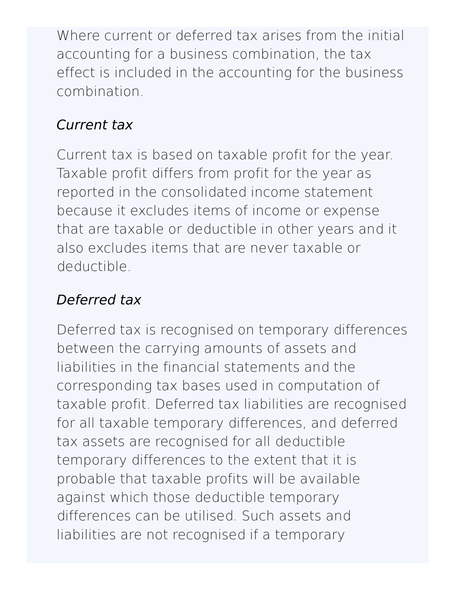Where current or deferred tax arises from the initial accounting for a business combination, the tax effect is included in the accounting for the business combination.

# Current tax

Current tax is based on taxable profit for the year. Taxable profit differs from profit for the year as reported in the consolidated income statement because it excludes items of income or expense that are taxable or deductible in other years and it also excludes items that are never taxable or deductible.

# Deferred tax

Deferred tax is recognised on temporary differences between the carrying amounts of assets and liabilities in the financial statements and the corresponding tax bases used in computation of taxable profit. Deferred tax liabilities are recognised for all taxable temporary differences, and deferred tax assets are recognised for all deductible temporary differences to the extent that it is probable that taxable profits will be available against which those deductible temporary differences can be utilised. Such assets and liabilities are not recognised if a temporary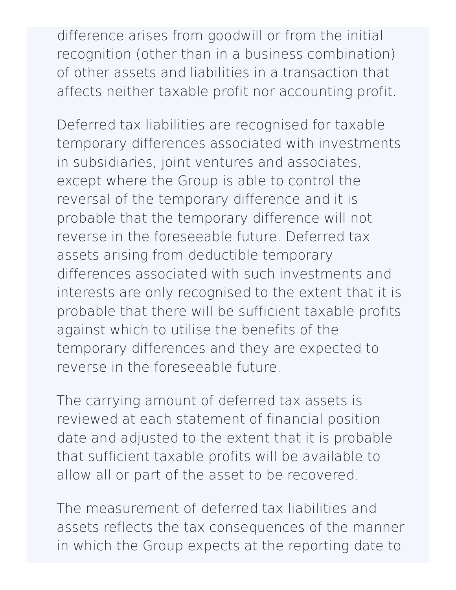difference arises from goodwill or from the initial recognition (other than in a business combination) of other assets and liabilities in a transaction that affects neither taxable profit nor accounting profit.

Deferred tax liabilities are recognised for taxable temporary differences associated with investments in subsidiaries, joint ventures and associates, except where the Group is able to control the reversal of the temporary difference and it is probable that the temporary difference will not reverse in the foreseeable future. Deferred tax assets arising from deductible temporary differences associated with such investments and interests are only recognised to the extent that it is probable that there will be sufficient taxable profits against which to utilise the benefits of the temporary differences and they are expected to reverse in the foreseeable future.

The carrying amount of deferred tax assets is reviewed at each statement of financial position date and adjusted to the extent that it is probable that sufficient taxable profits will be available to allow all or part of the asset to be recovered.

The measurement of deferred tax liabilities and assets reflects the tax consequences of the manner in which the Group expects at the reporting date to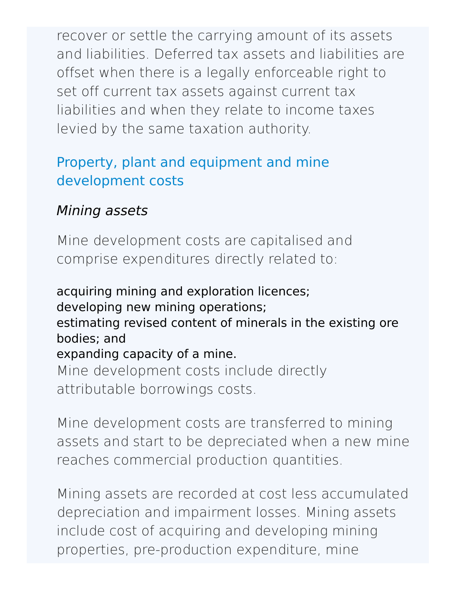recover or settle the carrying amount of its assets and liabilities. Deferred tax assets and liabilities are offset when there is a legally enforceable right to set off current tax assets against current tax liabilities and when they relate to income taxes levied by the same taxation authority.

## Property, plant and equipment and mine development costs

## Mining assets

Mine development costs are capitalised and comprise expenditures directly related to:

acquiring mining and exploration licences; developing new mining operations; estimating revised content of minerals in the existing ore bodies; and expanding capacity of a mine. Mine development costs include directly attributable borrowings costs.

Mine development costs are transferred to mining assets and start to be depreciated when a new mine reaches commercial production quantities.

Mining assets are recorded at cost less accumulated depreciation and impairment losses. Mining assets include cost of acquiring and developing mining properties, pre-production expenditure, mine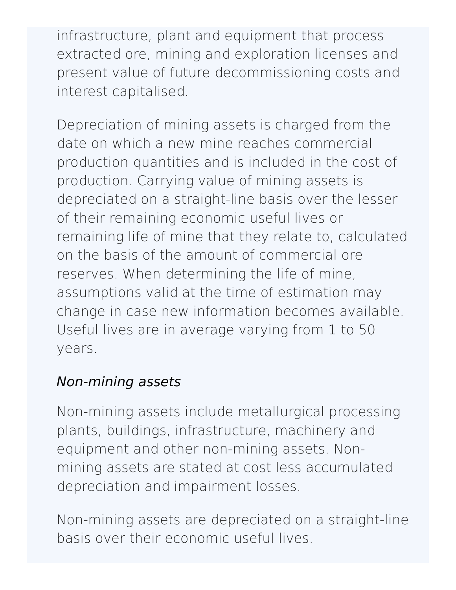infrastructure, plant and equipment that process extracted ore, mining and exploration licenses and present value of future decommissioning costs and interest capitalised.

Depreciation of mining assets is charged from the date on which a new mine reaches commercial production quantities and is included in the cost of production. Carrying value of mining assets is depreciated on a straight-line basis over the lesser of their remaining economic useful lives or remaining life of mine that they relate to, calculated on the basis of the amount of commercial ore reserves. When determining the life of mine, assumptions valid at the time of estimation may change in case new information becomes available. Useful lives are in average varying from 1 to 50 years.

## Non-mining assets

Non-mining assets include metallurgical processing plants, buildings, infrastructure, machinery and equipment and other non-mining assets. Nonmining assets are stated at cost less accumulated depreciation and impairment losses.

Non-mining assets are depreciated on a straight-line basis over their economic useful lives.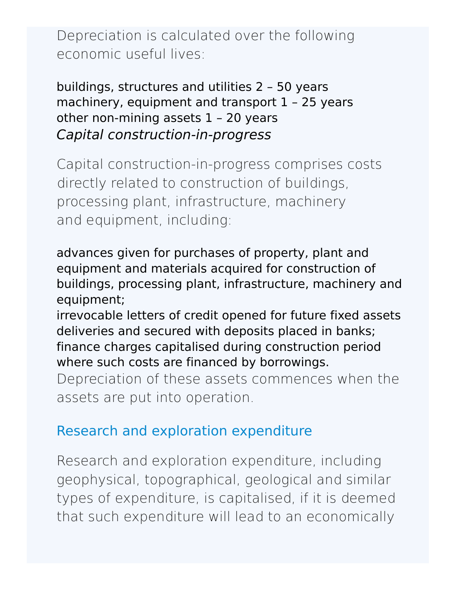Depreciation is calculated over the following economic useful lives:

buildings, structures and utilities 2 – 50 years machinery, equipment and transport 1 – 25 years other non-mining assets 1 – 20 years Capital construction-in-progress

Capital construction-in-progress comprises costs directly related to construction of buildings, processing plant, infrastructure, machinery and equipment, including:

advances given for purchases of property, plant and equipment and materials acquired for construction of buildings, processing plant, infrastructure, machinery and equipment;

irrevocable letters of credit opened for future fixed assets deliveries and secured with deposits placed in banks; finance charges capitalised during construction period where such costs are financed by borrowings.

Depreciation of these assets commences when the assets are put into operation.

#### Research and exploration expenditure

Research and exploration expenditure, including geophysical, topographical, geological and similar types of expenditure, is capitalised, if it is deemed that such expenditure will lead to an economically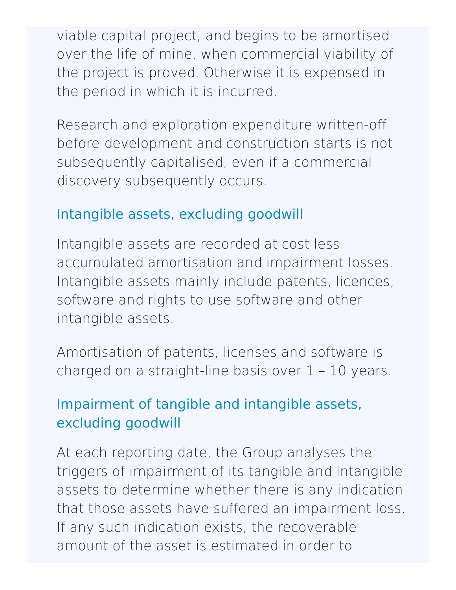viable capital project, and begins to be amortised over the life of mine, when commercial viability of the project is proved. Otherwise it is expensed in the period in which it is incurred.

Research and exploration expenditure written-off before development and construction starts is not subsequently capitalised, even if a commercial discovery subsequently occurs.

#### Intangible assets, excluding goodwill

Intangible assets are recorded at cost less accumulated amortisation and impairment losses. Intangible assets mainly include patents, licences, software and rights to use software and other intangible assets.

Amortisation of patents, licenses and software is charged on a straight-line basis over 1 – 10 years.

# Impairment of tangible and intangible assets, excluding goodwill

At each reporting date, the Group analyses the triggers of impairment of its tangible and intangible assets to determine whether there is any indication that those assets have suffered an impairment loss. If any such indication exists, the recoverable amount of the asset is estimated in order to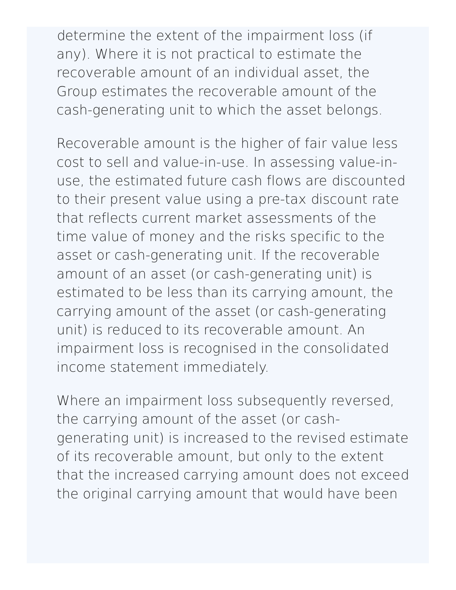determine the extent of the impairment loss (if any). Where it is not practical to estimate the recoverable amount of an individual asset, the Group estimates the recoverable amount of the cash-generating unit to which the asset belongs.

Recoverable amount is the higher of fair value less cost to sell and value-in-use. In assessing value-inuse, the estimated future cash flows are discounted to their present value using a pre-tax discount rate that reflects current market assessments of the time value of money and the risks specific to the asset or cash-generating unit. If the recoverable amount of an asset (or cash-generating unit) is estimated to be less than its carrying amount, the carrying amount of the asset (or cash-generating unit) is reduced to its recoverable amount. An impairment loss is recognised in the consolidated income statement immediately.

Where an impairment loss subsequently reversed, the carrying amount of the asset (or cashgenerating unit) is increased to the revised estimate of its recoverable amount, but only to the extent that the increased carrying amount does not exceed the original carrying amount that would have been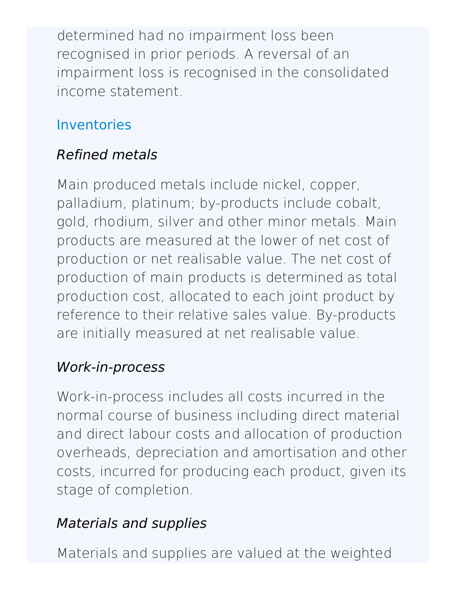determined had no impairment loss been recognised in prior periods. A reversal of an impairment loss is recognised in the consolidated income statement.

## Inventories

# Refined metals

Main produced metals include nickel, copper, palladium, platinum; by-products include cobalt, gold, rhodium, silver and other minor metals. Main products are measured at the lower of net cost of production or net realisable value. The net cost of production of main products is determined as total production cost, allocated to each joint product by reference to their relative sales value. By-products are initially measured at net realisable value.

## Work-in-process

Work-in-process includes all costs incurred in the normal course of business including direct material and direct labour costs and allocation of production overheads, depreciation and amortisation and other costs, incurred for producing each product, given its stage of completion.

# Materials and supplies

Materials and supplies are valued at the weighted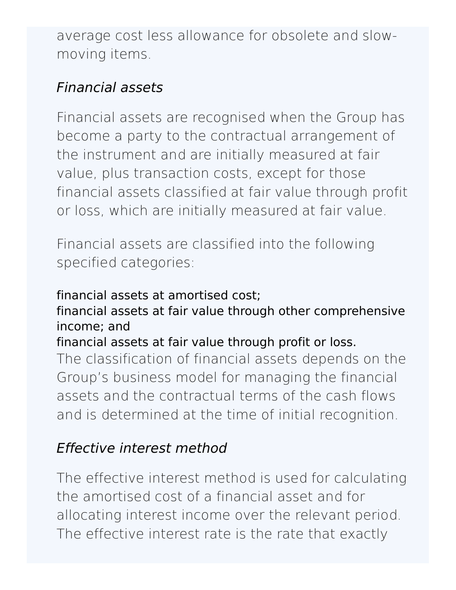average cost less allowance for obsolete and slowmoving items.

## Financial assets

Financial assets are recognised when the Group has become a party to the contractual arrangement of the instrument and are initially measured at fair value, plus transaction costs, except for those financial assets classified at fair value through profit or loss, which are initially measured at fair value.

Financial assets are classified into the following specified categories:

#### financial assets at amortised cost;

#### financial assets at fair value through other comprehensive income; and

#### financial assets at fair value through profit or loss.

The classification of financial assets depends on the Group's business model for managing the financial assets and the contractual terms of the cash flows and is determined at the time of initial recognition.

# Effective interest method

The effective interest method is used for calculating the amortised cost of a financial asset and for allocating interest income over the relevant period. The effective interest rate is the rate that exactly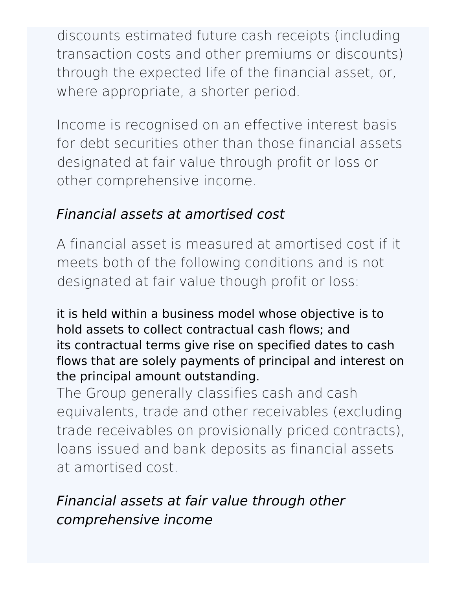discounts estimated future cash receipts (including transaction costs and other premiums or discounts) through the expected life of the financial asset, or, where appropriate, a shorter period.

Income is recognised on an effective interest basis for debt securities other than those financial assets designated at fair value through profit or loss or other comprehensive income.

## Financial assets at amortised cost

A financial asset is measured at amortised cost if it meets both of the following conditions and is not designated at fair value though profit or loss:

it is held within a business model whose objective is to hold assets to collect contractual cash flows; and its contractual terms give rise on specified dates to cash flows that are solely payments of principal and interest on the principal amount outstanding.

The Group generally classifies cash and cash equivalents, trade and other receivables (excluding trade receivables on provisionally priced contracts), loans issued and bank deposits as financial assets at amortised cost.

# Financial assets at fair value through other comprehensive income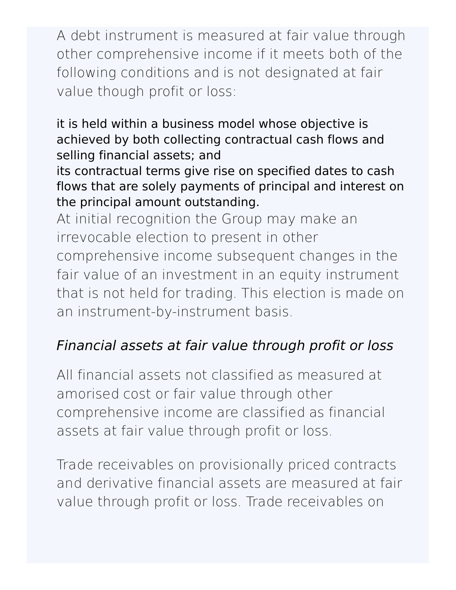A debt instrument is measured at fair value through other comprehensive income if it meets both of the following conditions and is not designated at fair value though profit or loss:

it is held within a business model whose objective is achieved by both collecting contractual cash flows and selling financial assets; and

its contractual terms give rise on specified dates to cash flows that are solely payments of principal and interest on the principal amount outstanding.

At initial recognition the Group may make an irrevocable election to present in other comprehensive income subsequent changes in the fair value of an investment in an equity instrument that is not held for trading. This election is made on an instrument-by-instrument basis.

# Financial assets at fair value through profit or loss

All financial assets not classified as measured at amorised cost or fair value through other comprehensive income are classified as financial assets at fair value through profit or loss.

Trade receivables on provisionally priced contracts and derivative financial assets are measured at fair value through profit or loss. Trade receivables on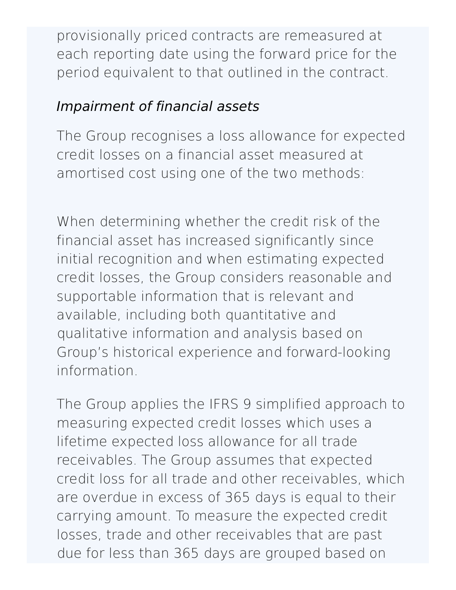provisionally priced contracts are remeasured at each reporting date using the forward price for the period equivalent to that outlined in the contract.

# Impairment of financial assets

The Group recognises a loss allowance for expected credit losses on a financial asset measured at amortised cost using one of the two methods:

When determining whether the credit risk of the financial asset has increased significantly since initial recognition and when estimating expected credit losses, the Group considers reasonable and supportable information that is relevant and available, including both quantitative and qualitative information and analysis based on Group's historical experience and forward-looking information.

The Group applies the IFRS 9 simplified approach to measuring expected credit losses which uses a lifetime expected loss allowance for all trade receivables. The Group assumes that expected credit loss for all trade and other receivables, which are overdue in excess of 365 days is equal to their carrying amount. To measure the expected credit losses, trade and other receivables that are past due for less than 365 days are grouped based on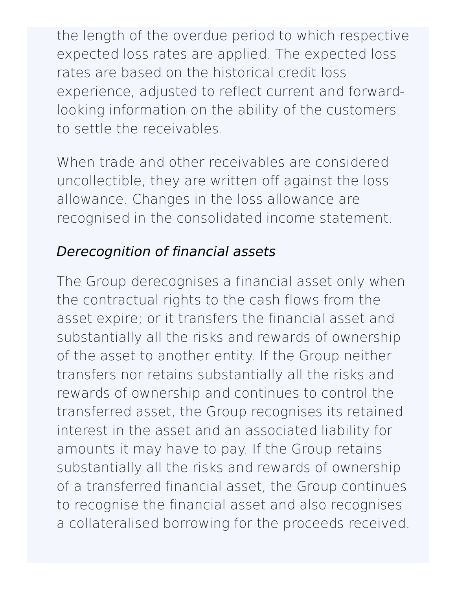the length of the overdue period to which respective expected loss rates are applied. The expected loss rates are based on the historical credit loss experience, adjusted to reflect current and forwardlooking information on the ability of the customers to settle the receivables.

When trade and other receivables are considered uncollectible, they are written off against the loss allowance. Changes in the loss allowance are recognised in the consolidated income statement.

## Derecognition of financial assets

The Group derecognises a financial asset only when the contractual rights to the cash flows from the asset expire; or it transfers the financial asset and substantially all the risks and rewards of ownership of the asset to another entity. If the Group neither transfers nor retains substantially all the risks and rewards of ownership and continues to control the transferred asset, the Group recognises its retained interest in the asset and an associated liability for amounts it may have to pay. If the Group retains substantially all the risks and rewards of ownership of a transferred financial asset, the Group continues to recognise the financial asset and also recognises a collateralised borrowing for the proceeds received.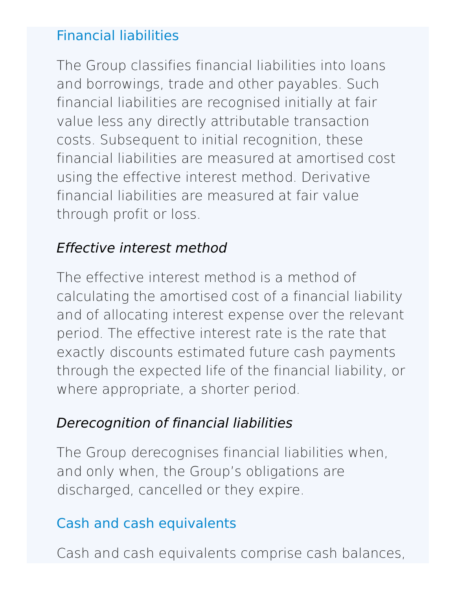## Financial liabilities

The Group classifies financial liabilities into loans and borrowings, trade and other payables. Such financial liabilities are recognised initially at fair value less any directly attributable transaction costs. Subsequent to initial recognition, these financial liabilities are measured at amortised cost using the effective interest method. Derivative financial liabilities are measured at fair value through profit or loss.

## Effective interest method

The effective interest method is a method of calculating the amortised cost of a financial liability and of allocating interest expense over the relevant period. The effective interest rate is the rate that exactly discounts estimated future cash payments through the expected life of the financial liability, or where appropriate, a shorter period.

# Derecognition of financial liabilities

The Group derecognises financial liabilities when, and only when, the Group's obligations are discharged, cancelled or they expire.

## Cash and cash equivalents

Cash and cash equivalents comprise cash balances,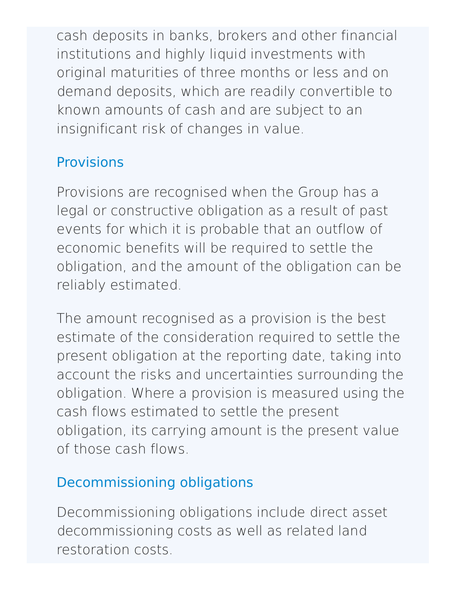cash deposits in banks, brokers and other financial institutions and highly liquid investments with original maturities of three months or less and on demand deposits, which are readily convertible to known amounts of cash and are subject to an insignificant risk of changes in value.

# **Provisions**

Provisions are recognised when the Group has a legal or constructive obligation as a result of past events for which it is probable that an outflow of economic benefits will be required to settle the obligation, and the amount of the obligation can be reliably estimated.

The amount recognised as a provision is the best estimate of the consideration required to settle the present obligation at the reporting date, taking into account the risks and uncertainties surrounding the obligation. Where a provision is measured using the cash flows estimated to settle the present obligation, its carrying amount is the present value of those cash flows.

# Decommissioning obligations

Decommissioning obligations include direct asset decommissioning costs as well as related land restoration costs.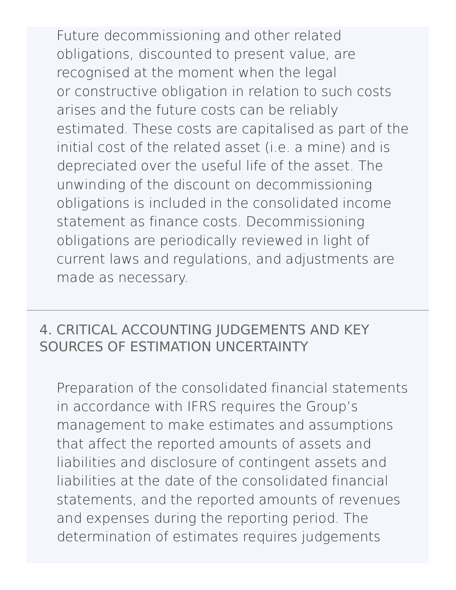Future decommissioning and other related obligations, discounted to present value, are recognised at the moment when the legal or constructive obligation in relation to such costs arises and the future costs can be reliably estimated. These costs are capitalised as part of the initial cost of the related asset (i.e. a mine) and is depreciated over the useful life of the asset. The unwinding of the discount on decommissioning obligations is included in the consolidated income statement as finance costs. Decommissioning obligations are periodically reviewed in light of current laws and regulations, and adjustments are made as necessary.

## 4. CRITICAL ACCOUNTING JUDGEMENTS AND KEY SOURCES OF ESTIMATION [UNCERTAINTY](http://127.0.0.1:8089/ar/en/financial-overview/ifrs/statements#note-4)

Preparation of the consolidated financial statements in accordance with IFRS requires the Group's management to make estimates and assumptions that affect the reported amounts of assets and liabilities and disclosure of contingent assets and liabilities at the date of the consolidated financial statements, and the reported amounts of revenues and expenses during the reporting period. The determination of estimates requires judgements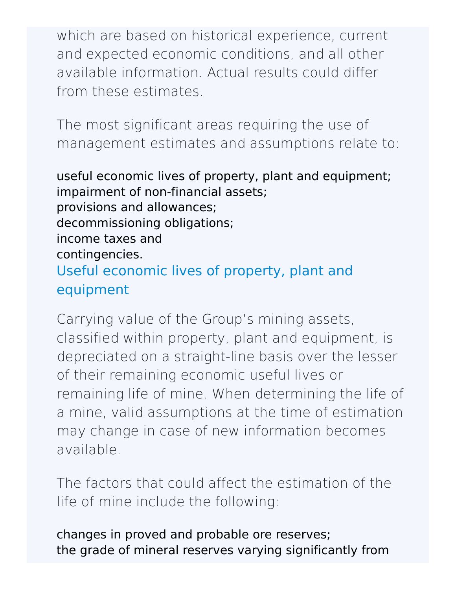which are based on historical experience, current and expected economic conditions, and all other available information. Actual results could differ from these estimates.

The most significant areas requiring the use of management estimates and assumptions relate to:

useful economic lives of property, plant and equipment; impairment of non-financial assets; provisions and allowances; decommissioning obligations; income taxes and contingencies. Useful economic lives of property, plant and equipment

Carrying value of the Group's mining assets, classified within property, plant and equipment, is depreciated on a straight-line basis over the lesser of their remaining economic useful lives or remaining life of mine. When determining the life of a mine, valid assumptions at the time of estimation may change in case of new information becomes available.

The factors that could affect the estimation of the life of mine include the following:

changes in proved and probable ore reserves; the grade of mineral reserves varying significantly from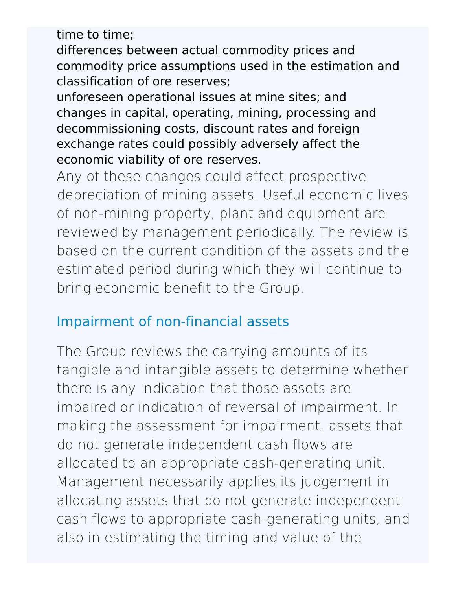time to time;

differences between actual commodity prices and commodity price assumptions used in the estimation and classification of ore reserves;

unforeseen operational issues at mine sites; and changes in capital, operating, mining, processing and decommissioning costs, discount rates and foreign exchange rates could possibly adversely affect the economic viability of ore reserves.

Any of these changes could affect prospective depreciation of mining assets. Useful economic lives of non-mining property, plant and equipment are reviewed by management periodically. The review is based on the current condition of the assets and the estimated period during which they will continue to bring economic benefit to the Group.

## Impairment of non-financial assets

The Group reviews the carrying amounts of its tangible and intangible assets to determine whether there is any indication that those assets are impaired or indication of reversal of impairment. In making the assessment for impairment, assets that do not generate independent cash flows are allocated to an appropriate cash-generating unit. Management necessarily applies its judgement in allocating assets that do not generate independent cash flows to appropriate cash-generating units, and also in estimating the timing and value of the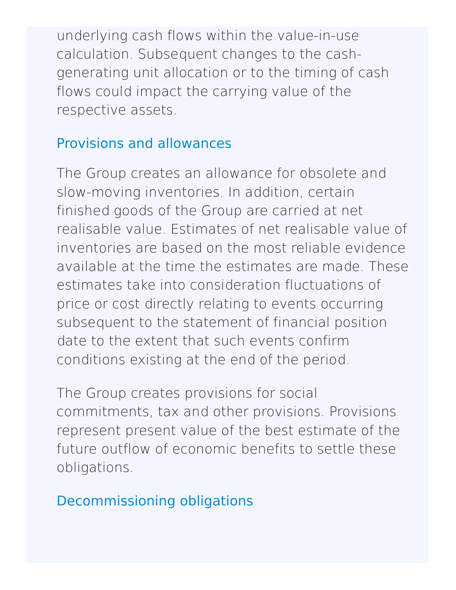underlying cash flows within the value-in-use calculation. Subsequent changes to the cashgenerating unit allocation or to the timing of cash flows could impact the carrying value of the respective assets.

#### Provisions and allowances

The Group creates an allowance for obsolete and slow-moving inventories. In addition, certain finished goods of the Group are carried at net realisable value. Estimates of net realisable value of inventories are based on the most reliable evidence available at the time the estimates are made. These estimates take into consideration fluctuations of price or cost directly relating to events occurring subsequent to the statement of financial position date to the extent that such events confirm conditions existing at the end of the period.

The Group creates provisions for social commitments, tax and other provisions. Provisions represent present value of the best estimate of the future outflow of economic benefits to settle these obligations.

Decommissioning obligations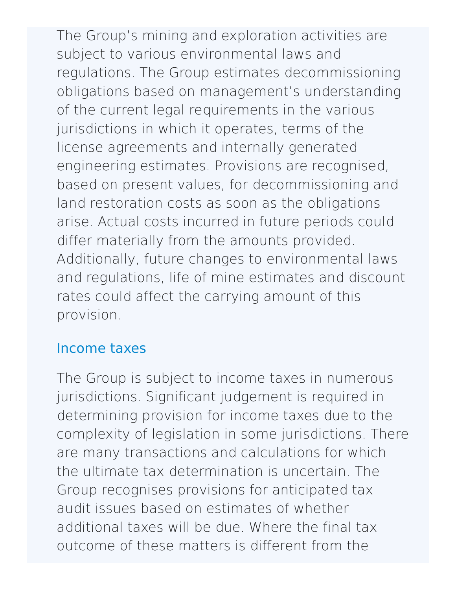The Group's mining and exploration activities are subject to various environmental laws and regulations. The Group estimates decommissioning obligations based on management's understanding of the current legal requirements in the various jurisdictions in which it operates, terms of the license agreements and internally generated engineering estimates. Provisions are recognised, based on present values, for decommissioning and land restoration costs as soon as the obligations arise. Actual costs incurred in future periods could differ materially from the amounts provided. Additionally, future changes to environmental laws and regulations, life of mine estimates and discount rates could affect the carrying amount of this provision.

#### Income taxes

The Group is subject to income taxes in numerous jurisdictions. Significant judgement is required in determining provision for income taxes due to the complexity of legislation in some jurisdictions. There are many transactions and calculations for which the ultimate tax determination is uncertain. The Group recognises provisions for anticipated tax audit issues based on estimates of whether additional taxes will be due. Where the final tax outcome of these matters is different from the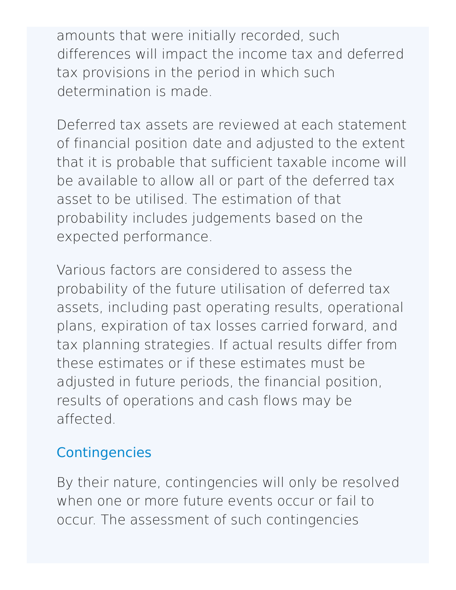amounts that were initially recorded, such differences will impact the income tax and deferred tax provisions in the period in which such determination is made.

Deferred tax assets are reviewed at each statement of financial position date and adjusted to the extent that it is probable that sufficient taxable income will be available to allow all or part of the deferred tax asset to be utilised. The estimation of that probability includes judgements based on the expected performance.

Various factors are considered to assess the probability of the future utilisation of deferred tax assets, including past operating results, operational plans, expiration of tax losses carried forward, and tax planning strategies. If actual results differ from these estimates or if these estimates must be adjusted in future periods, the financial position, results of operations and cash flows may be affected.

# **Contingencies**

By their nature, contingencies will only be resolved when one or more future events occur or fail to occur. The assessment of such contingencies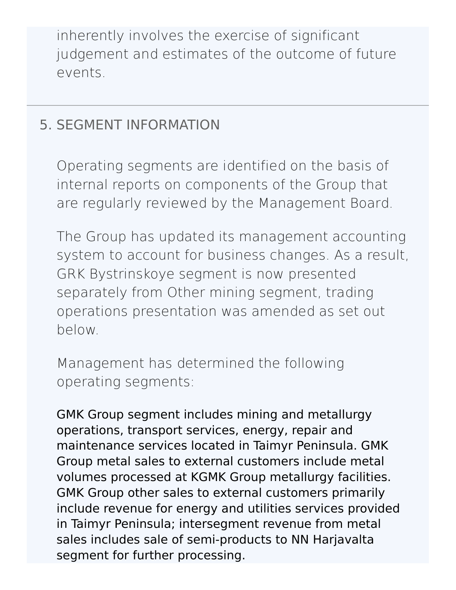inherently involves the exercise of significant judgement and estimates of the outcome of future events.

## 5. SEGMENT [INFORMATION](http://127.0.0.1:8089/ar/en/financial-overview/ifrs/statements#note-5)

Operating segments are identified on the basis of internal reports on components of the Group that are regularly reviewed by the Management Board.

The Group has updated its management accounting system to account for business changes. As a result, GRK Bystrinskoye segment is now presented separately from Other mining segment, trading operations presentation was amended as set out below.

Management has determined the following operating segments:

GMK Group segment includes mining and metallurgy operations, transport services, energy, repair and maintenance services located in Taimyr Peninsula. GMK Group metal sales to external customers include metal volumes processed at KGMK Group metallurgy facilities. GMK Group other sales to external customers primarily include revenue for energy and utilities services provided in Taimyr Peninsula; intersegment revenue from metal sales includes sale of semi-products to NN Harjavalta segment for further processing.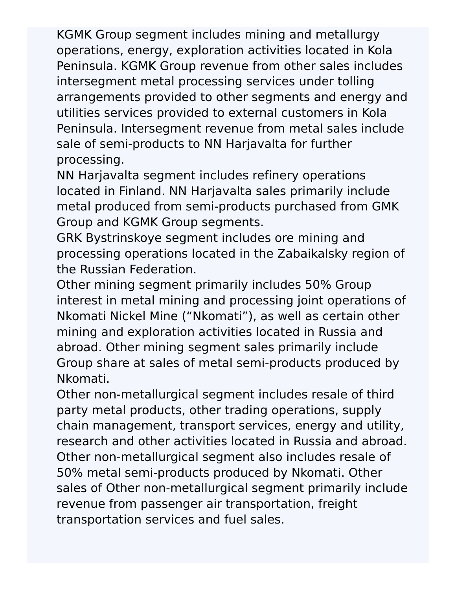KGMK Group segment includes mining and metallurgy operations, energy, exploration activities located in Kola Peninsula. KGMK Group revenue from other sales includes intersegment metal processing services under tolling arrangements provided to other segments and energy and utilities services provided to external customers in Kola Peninsula. Intersegment revenue from metal sales include sale of semi-products to NN Harjavalta for further processing.

NN Harjavalta segment includes refinery operations located in Finland. NN Harjavalta sales primarily include metal produced from semi-products purchased from GMK Group and KGMK Group segments.

GRK Bystrinskoye segment includes ore mining and processing operations located in the Zabaikalsky region of the Russian Federation.

Other mining segment primarily includes 50% Group interest in metal mining and processing joint operations of Nkomati Nickel Mine ("Nkomati"), as well as certain other mining and exploration activities located in Russia and abroad. Other mining segment sales primarily include Group share at sales of metal semi-products produced by Nkomati.

Other non-metallurgical segment includes resale of third party metal products, other trading operations, supply chain management, transport services, energy and utility, research and other activities located in Russia and abroad. Other non-metallurgical segment also includes resale of 50% metal semi-products produced by Nkomati. Other sales of Other non-metallurgical segment primarily include revenue from passenger air transportation, freight transportation services and fuel sales.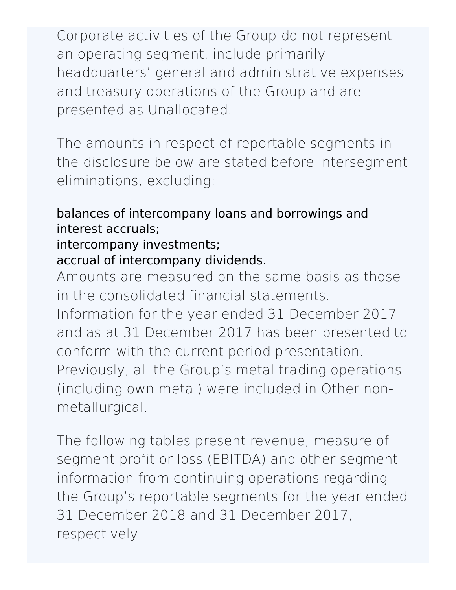Corporate activities of the Group do not represent an operating segment, include primarily headquarters' general and administrative expenses and treasury operations of the Group and are presented as Unallocated.

The amounts in respect of reportable segments in the disclosure below are stated before intersegment eliminations, excluding:

#### balances of intercompany loans and borrowings and interest accruals;

#### intercompany investments;

#### accrual of intercompany dividends.

Amounts are measured on the same basis as those in the consolidated financial statements.

Information for the year ended 31 December 2017 and as at 31 December 2017 has been presented to conform with the current period presentation. Previously, all the Group's metal trading operations (including own metal) were included in Other nonmetallurgical.

The following tables present revenue, measure of segment profit or loss (EBITDA) and other segment information from continuing operations regarding the Group's reportable segments for the year ended 31 December 2018 and 31 December 2017, respectively.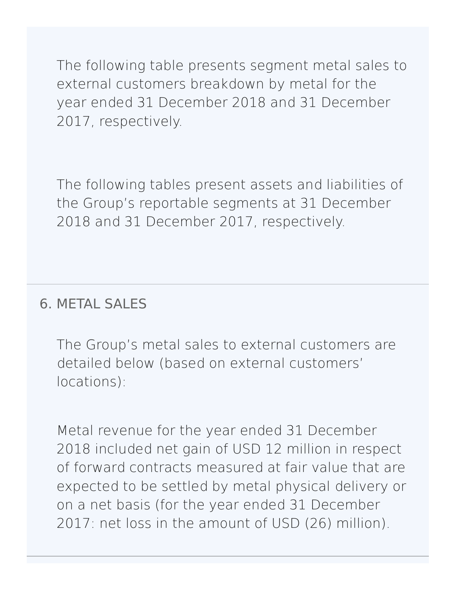The following table presents segment metal sales to external customers breakdown by metal for the year ended 31 December 2018 and 31 December 2017, respectively.

The following tables present assets and liabilities of the Group's reportable segments at 31 December 2018 and 31 December 2017, respectively.

## 6. [METAL](http://127.0.0.1:8089/ar/en/financial-overview/ifrs/statements#note-6) SALES

The Group's metal sales to external customers are detailed below (based on external customers' locations):

Metal revenue for the year ended 31 December 2018 included net gain of USD 12 million in respect of forward contracts measured at fair value that are expected to be settled by metal physical delivery or on a net basis (for the year ended 31 December 2017: net loss in the amount of USD (26) million).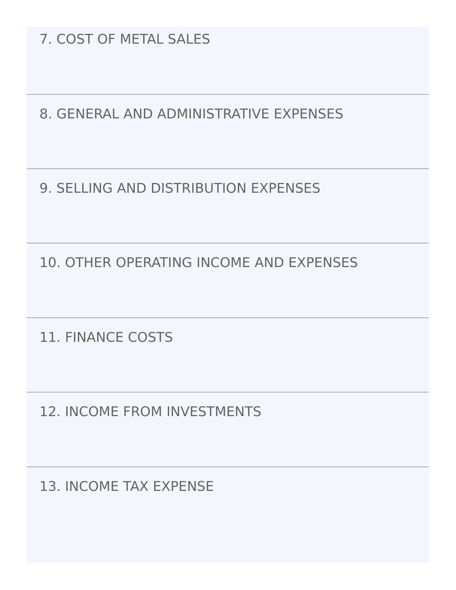7. COST OF [METAL](http://127.0.0.1:8089/ar/en/financial-overview/ifrs/statements#note-7) SALES

8. GENERAL AND [ADMINISTRATIVE](http://127.0.0.1:8089/ar/en/financial-overview/ifrs/statements#note-8) EXPENSES

9. SELLING AND [DISTRIBUTION](http://127.0.0.1:8089/ar/en/financial-overview/ifrs/statements#note-9) EXPENSES

10. OTHER [OPERATING](http://127.0.0.1:8089/ar/en/financial-overview/ifrs/statements#note-10) INCOME AND EXPENSES

11. [FINANCE](http://127.0.0.1:8089/ar/en/financial-overview/ifrs/statements#note-11) COSTS

12. INCOME FROM [INVESTMENTS](http://127.0.0.1:8089/ar/en/financial-overview/ifrs/statements#note-12)

13. INCOME TAX [EXPENSE](http://127.0.0.1:8089/ar/en/financial-overview/ifrs/statements#note-13)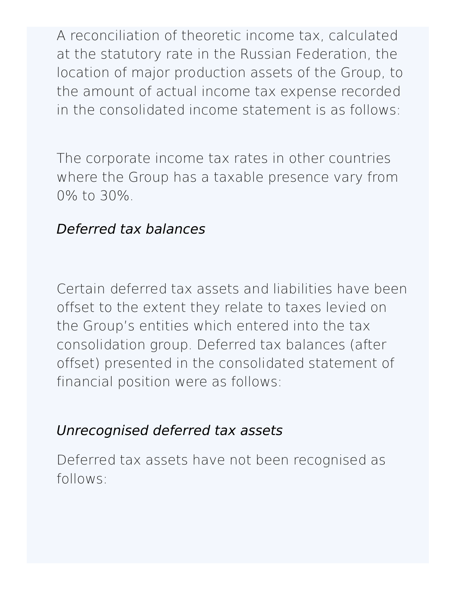A reconciliation of theoretic income tax, calculated at the statutory rate in the Russian Federation, the location of major production assets of the Group, to the amount of actual income tax expense recorded in the consolidated income statement is as follows:

The corporate income tax rates in other countries where the Group has a taxable presence vary from 0% to 30%.

# Deferred tax balances

Certain deferred tax assets and liabilities have been offset to the extent they relate to taxes levied on the Group's entities which entered into the tax consolidation group. Deferred tax balances (after offset) presented in the consolidated statement of financial position were as follows:

## Unrecognised deferred tax assets

Deferred tax assets have not been recognised as follows: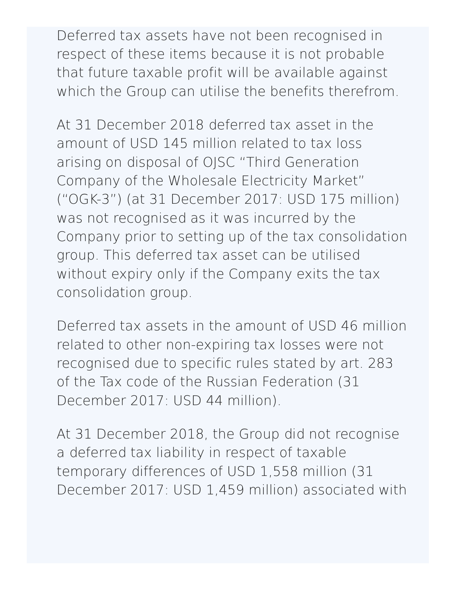Deferred tax assets have not been recognised in respect of these items because it is not probable that future taxable profit will be available against which the Group can utilise the benefits therefrom.

At 31 December 2018 deferred tax asset in the amount of USD 145 million related to tax loss arising on disposal of OJSC "Third Generation Company of the Wholesale Electricity Market" ("OGK-3") (at 31 December 2017: USD 175 million) was not recognised as it was incurred by the Company prior to setting up of the tax consolidation group. This deferred tax asset can be utilised without expiry only if the Company exits the tax consolidation group.

Deferred tax assets in the amount of USD 46 million related to other non-expiring tax losses were not recognised due to specific rules stated by art. 283 of the Tax code of the Russian Federation (31 December 2017: USD 44 million).

At 31 December 2018, the Group did not recognise a deferred tax liability in respect of taxable temporary differences of USD 1,558 million (31 December 2017: USD 1,459 million) associated with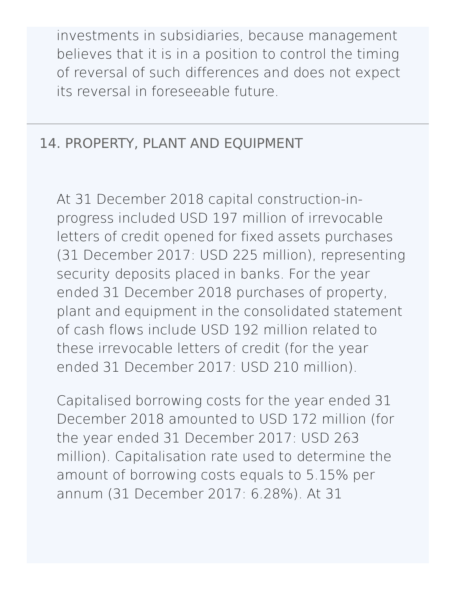investments in subsidiaries, because management believes that it is in a position to control the timing of reversal of such differences and does not expect its reversal in foreseeable future.

# 14. PROPERTY, PLANT AND [EQUIPMENT](http://127.0.0.1:8089/ar/en/financial-overview/ifrs/statements#note-14)

At 31 December 2018 capital construction-inprogress included USD 197 million of irrevocable letters of credit opened for fixed assets purchases (31 December 2017: USD 225 million), representing security deposits placed in banks. For the year ended 31 December 2018 purchases of property, plant and equipment in the consolidated statement of cash flows include USD 192 million related to these irrevocable letters of credit (for the year ended 31 December 2017: USD 210 million).

Capitalised borrowing costs for the year ended 31 December 2018 amounted to USD 172 million (for the year ended 31 December 2017: USD 263 million). Capitalisation rate used to determine the amount of borrowing costs equals to 5.15% per annum (31 December 2017: 6.28%). At 31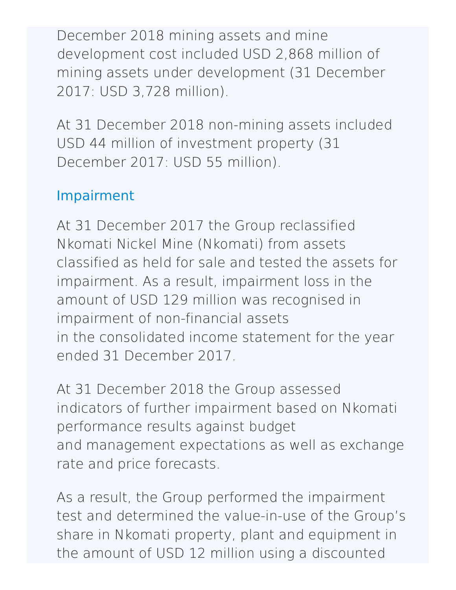December 2018 mining assets and mine development cost included USD 2,868 million of mining assets under development (31 December 2017: USD 3,728 million).

At 31 December 2018 non-mining assets included USD 44 million of investment property (31 December 2017: USD 55 million).

# Impairment

At 31 December 2017 the Group reclassified Nkomati Nickel Mine (Nkomati) from assets classified as held for sale and tested the assets for impairment. As a result, impairment loss in the amount of USD 129 million was recognised in impairment of non-financial assets in the consolidated income statement for the year ended 31 December 2017.

At 31 December 2018 the Group assessed indicators of further impairment based on Nkomati performance results against budget and management expectations as well as exchange rate and price forecasts.

As a result, the Group performed the impairment test and determined the value-in-use of the Group's share in Nkomati property, plant and equipment in the amount of USD 12 million using a discounted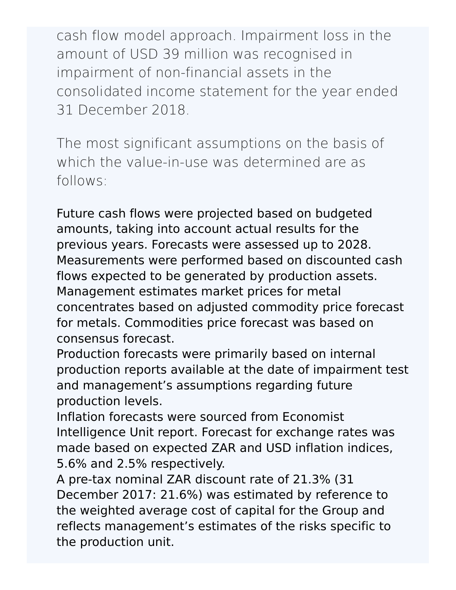cash flow model approach. Impairment loss in the amount of USD 39 million was recognised in impairment of non-financial assets in the consolidated income statement for the year ended 31 December 2018.

The most significant assumptions on the basis of which the value-in-use was determined are as follows:

Future cash flows were projected based on budgeted amounts, taking into account actual results for the previous years. Forecasts were assessed up to 2028. Measurements were performed based on discounted cash flows expected to be generated by production assets. Management estimates market prices for metal concentrates based on adjusted commodity price forecast for metals. Commodities price forecast was based on consensus forecast.

Production forecasts were primarily based on internal production reports available at the date of impairment test and management's assumptions regarding future production levels.

Inflation forecasts were sourced from Economist Intelligence Unit report. Forecast for exchange rates was made based on expected ZAR and USD inflation indices, 5.6% and 2.5% respectively.

A pre-tax nominal ZAR discount rate of 21.3% (31 December 2017: 21.6%) was estimated by reference to the weighted average cost of capital for the Group and reflects management's estimates of the risks specific to the production unit.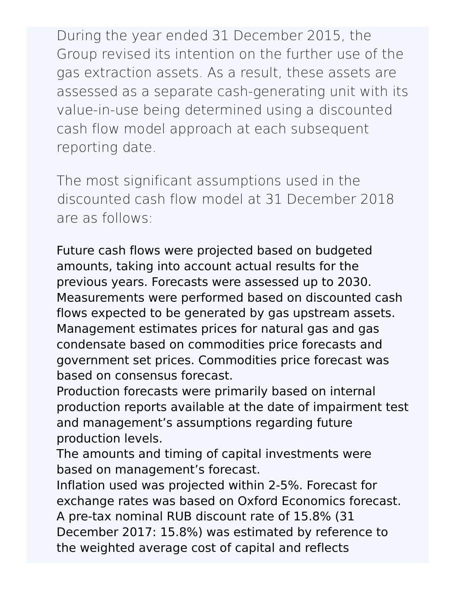During the year ended 31 December 2015, the Group revised its intention on the further use of the gas extraction assets. As a result, these assets are assessed as a separate cash-generating unit with its value-in-use being determined using a discounted cash flow model approach at each subsequent reporting date.

The most significant assumptions used in the discounted cash flow model at 31 December 2018 are as follows:

Future cash flows were projected based on budgeted amounts, taking into account actual results for the previous years. Forecasts were assessed up to 2030. Measurements were performed based on discounted cash flows expected to be generated by gas upstream assets. Management estimates prices for natural gas and gas condensate based on commodities price forecasts and government set prices. Commodities price forecast was based on consensus forecast.

Production forecasts were primarily based on internal production reports available at the date of impairment test and management's assumptions regarding future production levels.

The amounts and timing of capital investments were based on management's forecast.

Inflation used was projected within 2-5%. Forecast for exchange rates was based on Oxford Economics forecast. A pre-tax nominal RUB discount rate of 15.8% (31 December 2017: 15.8%) was estimated by reference to the weighted average cost of capital and reflects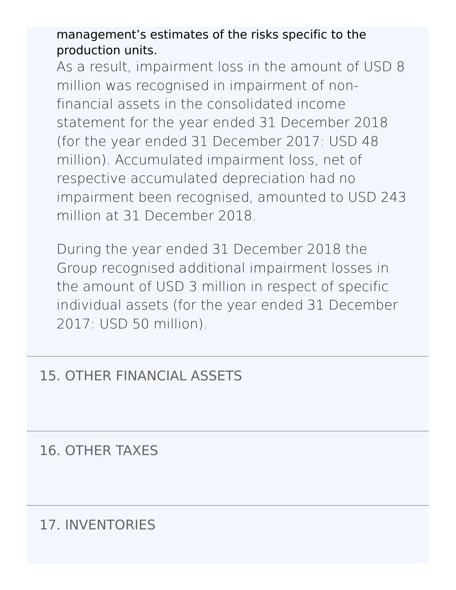management's estimates of the risks specific to the production units.

As a result, impairment loss in the amount of USD 8 million was recognised in impairment of nonfinancial assets in the consolidated income statement for the year ended 31 December 2018 (for the year ended 31 December 2017: USD 48 million). Accumulated impairment loss, net of respective accumulated depreciation had no impairment been recognised, amounted to USD 243 million at 31 December 2018.

During the year ended 31 December 2018 the Group recognised additional impairment losses in the amount of USD 3 million in respect of specific individual assets (for the year ended 31 December 2017: USD 50 million).

#### 15. OTHER [FINANCIAL](http://127.0.0.1:8089/ar/en/financial-overview/ifrs/statements#note-15) ASSETS

16. [OTHER](http://127.0.0.1:8089/ar/en/financial-overview/ifrs/statements#note-16) TAXES

17. [INVENTORIES](http://127.0.0.1:8089/ar/en/financial-overview/ifrs/statements#note-17)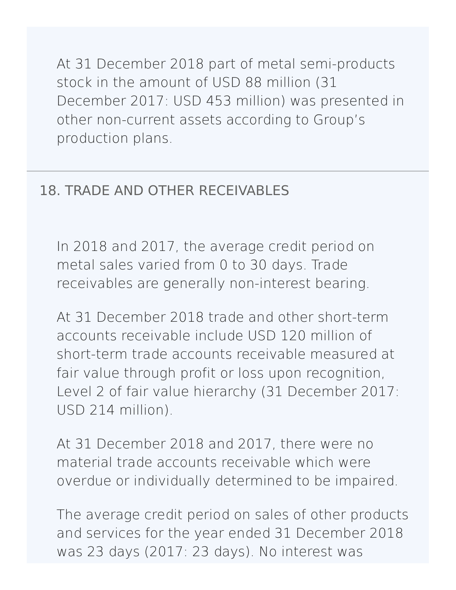At 31 December 2018 part of metal semi-products stock in the amount of USD 88 million (31 December 2017: USD 453 million) was presented in other non-current assets according to Group's production plans.

#### 18. TRADE AND OTHER [RECEIVABLES](http://127.0.0.1:8089/ar/en/financial-overview/ifrs/statements#note-18)

In 2018 and 2017, the average credit period on metal sales varied from 0 to 30 days. Trade receivables are generally non-interest bearing.

At 31 December 2018 trade and other short-term accounts receivable include USD 120 million of short-term trade accounts receivable measured at fair value through profit or loss upon recognition, Level 2 of fair value hierarchy (31 December 2017: USD 214 million).

At 31 December 2018 and 2017, there were no material trade accounts receivable which were overdue or individually determined to be impaired.

The average credit period on sales of other products and services for the year ended 31 December 2018 was 23 days (2017: 23 days). No interest was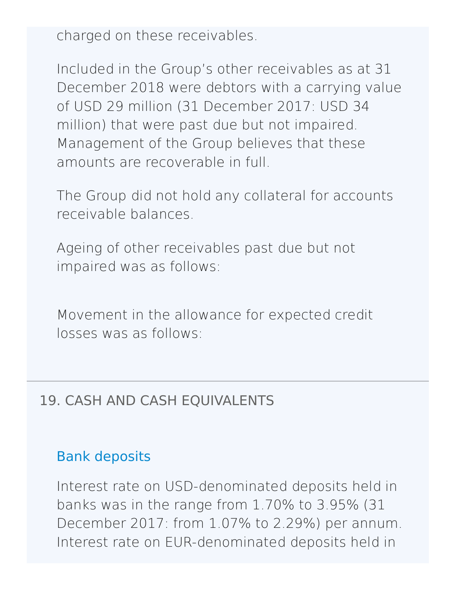charged on these receivables.

Included in the Group's other receivables as at 31 December 2018 were debtors with a carrying value of USD 29 million (31 December 2017: USD 34 million) that were past due but not impaired. Management of the Group believes that these amounts are recoverable in full.

The Group did not hold any collateral for accounts receivable balances.

Ageing of other receivables past due but not impaired was as follows:

Movement in the allowance for expected credit losses was as follows:

#### 19. CASH AND CASH [EQUIVALENTS](http://127.0.0.1:8089/ar/en/financial-overview/ifrs/statements#note-19)

#### Bank deposits

Interest rate on USD-denominated deposits held in banks was in the range from 1.70% to 3.95% (31 December 2017: from 1.07% to 2.29%) per annum. Interest rate on EUR-denominated deposits held in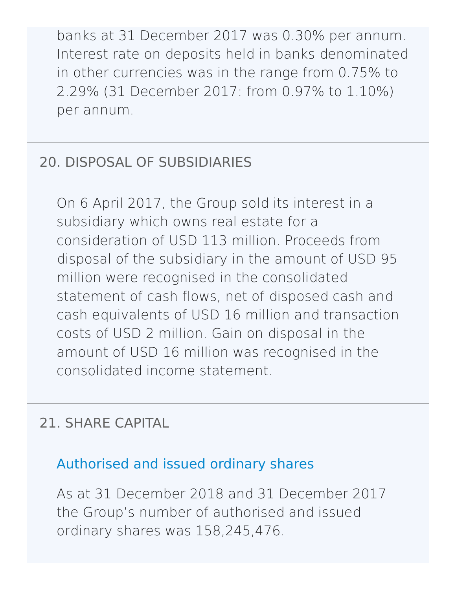banks at 31 December 2017 was 0.30% per annum. Interest rate on deposits held in banks denominated in other currencies was in the range from 0.75% to 2.29% (31 December 2017: from 0.97% to 1.10%) per annum.

## 20. DISPOSAL OF [SUBSIDIARIES](http://127.0.0.1:8089/ar/en/financial-overview/ifrs/statements#note-20)

On 6 April 2017, the Group sold its interest in a subsidiary which owns real estate for a consideration of USD 113 million. Proceeds from disposal of the subsidiary in the amount of USD 95 million were recognised in the consolidated statement of cash flows, net of disposed cash and cash equivalents of USD 16 million and transaction costs of USD 2 million. Gain on disposal in the amount of USD 16 million was recognised in the consolidated income statement.

## 21. SHARE [CAPITAL](http://127.0.0.1:8089/ar/en/financial-overview/ifrs/statements#note-21)

# Authorised and issued ordinary shares

As at 31 December 2018 and 31 December 2017 the Group's number of authorised and issued ordinary shares was 158,245,476.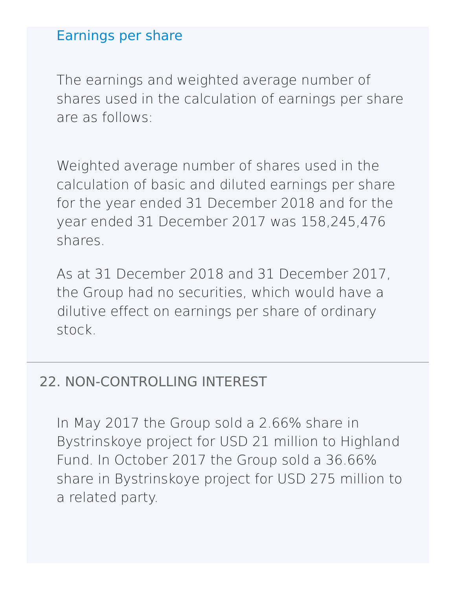#### Earnings per share

The earnings and weighted average number of shares used in the calculation of earnings per share are as follows:

Weighted average number of shares used in the calculation of basic and diluted earnings per share for the year ended 31 December 2018 and for the year ended 31 December 2017 was 158,245,476 shares.

As at 31 December 2018 and 31 December 2017, the Group had no securities, which would have a dilutive effect on earnings per share of ordinary stock.

#### 22. [NON-CONTROLLING](http://127.0.0.1:8089/ar/en/financial-overview/ifrs/statements#note-22) INTEREST

In May 2017 the Group sold a 2.66% share in Bystrinskoye project for USD 21 million to Highland Fund. In October 2017 the Group sold a 36.66% share in Bystrinskoye project for USD 275 million to a related party.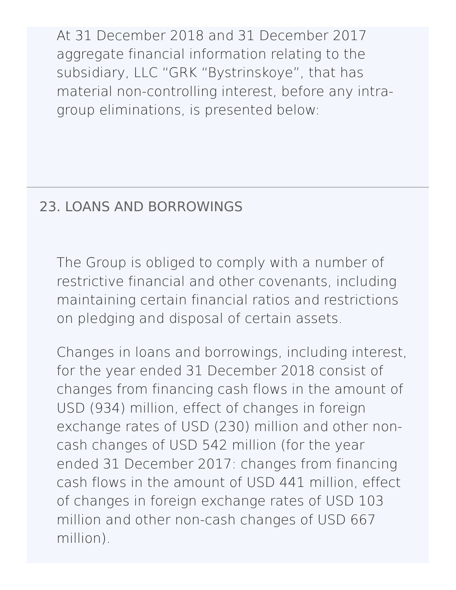At 31 December 2018 and 31 December 2017 aggregate financial information relating to the subsidiary, LLC "GRK "Bystrinskoye", that has material non-controlling interest, before any intragroup eliminations, is presented below:

# 23. LOANS AND [BORROWINGS](http://127.0.0.1:8089/ar/en/financial-overview/ifrs/statements#note-23)

The Group is obliged to comply with a number of restrictive financial and other covenants, including maintaining certain financial ratios and restrictions on pledging and disposal of certain assets.

Changes in loans and borrowings, including interest, for the year ended 31 December 2018 consist of changes from financing cash flows in the amount of USD (934) million, effect of changes in foreign exchange rates of USD (230) million and other noncash changes of USD 542 million (for the year ended 31 December 2017: changes from financing cash flows in the amount of USD 441 million, effect of changes in foreign exchange rates of USD 103 million and other non-cash changes of USD 667 million).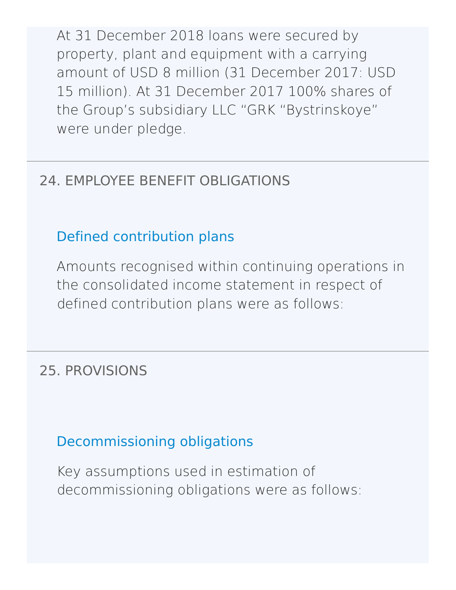At 31 December 2018 loans were secured by property, plant and equipment with a carrying amount of USD 8 million (31 December 2017: USD 15 million). At 31 December 2017 100% shares of the Group's subsidiary LLC "GRK "Bystrinskoye" were under pledge.

# 24. EMPLOYEE BENEFIT [OBLIGATIONS](http://127.0.0.1:8089/ar/en/financial-overview/ifrs/statements#note-24)

# Defined contribution plans

Amounts recognised within continuing operations in the consolidated income statement in respect of defined contribution plans were as follows:

## 25. [PROVISIONS](http://127.0.0.1:8089/ar/en/financial-overview/ifrs/statements#note-25)

Decommissioning obligations

Key assumptions used in estimation of decommissioning obligations were as follows: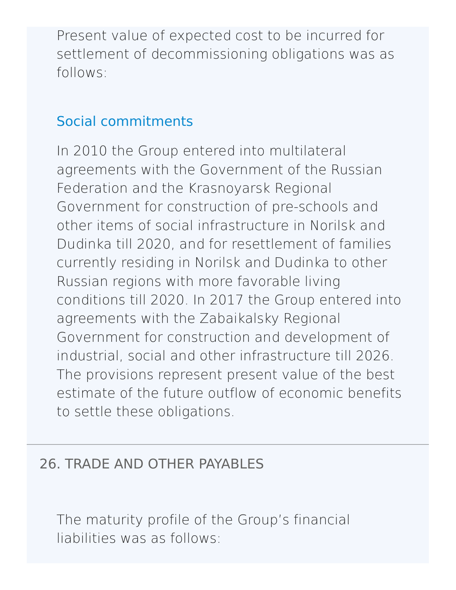Present value of expected cost to be incurred for settlement of decommissioning obligations was as follows:

## Social commitments

In 2010 the Group entered into multilateral agreements with the Government of the Russian Federation and the Krasnoyarsk Regional Government for construction of pre-schools and other items of social infrastructure in Norilsk and Dudinka till 2020, and for resettlement of families currently residing in Norilsk and Dudinka to other Russian regions with more favorable living conditions till 2020. In 2017 the Group entered into agreements with the Zabaikalsky Regional Government for construction and development of industrial, social and other infrastructure till 2026. The provisions represent present value of the best estimate of the future outflow of economic benefits to settle these obligations.

#### 26. TRADE AND OTHER [PAYABLES](http://127.0.0.1:8089/ar/en/financial-overview/ifrs/statements#note-26)

The maturity profile of the Group's financial liabilities was as follows: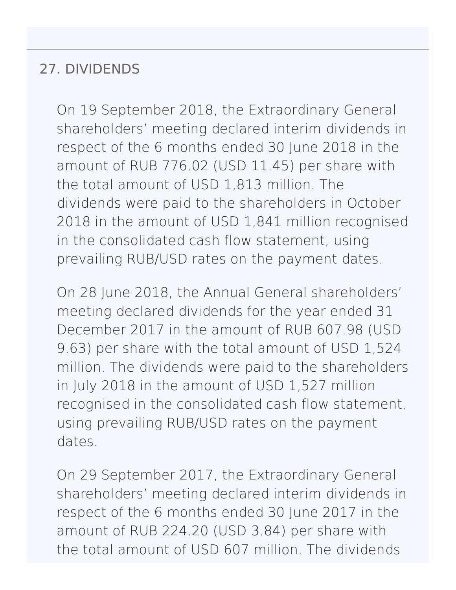#### 27. [DIVIDENDS](http://127.0.0.1:8089/ar/en/financial-overview/ifrs/statements#note-27)

On 19 September 2018, the Extraordinary General shareholders' meeting declared interim dividends in respect of the 6 months ended 30 June 2018 in the amount of RUB 776.02 (USD 11.45) per share with the total amount of USD 1,813 million. The dividends were paid to the shareholders in October 2018 in the amount of USD 1,841 million recognised in the consolidated cash flow statement, using prevailing RUB/USD rates on the payment dates.

On 28 June 2018, the Annual General shareholders' meeting declared dividends for the year ended 31 December 2017 in the amount of RUB 607.98 (USD 9.63) per share with the total amount of USD 1,524 million. The dividends were paid to the shareholders in July 2018 in the amount of USD 1,527 million recognised in the consolidated cash flow statement, using prevailing RUB/USD rates on the payment dates.

On 29 September 2017, the Extraordinary General shareholders' meeting declared interim dividends in respect of the 6 months ended 30 June 2017 in the amount of RUB 224.20 (USD 3.84) per share with the total amount of USD 607 million. The dividends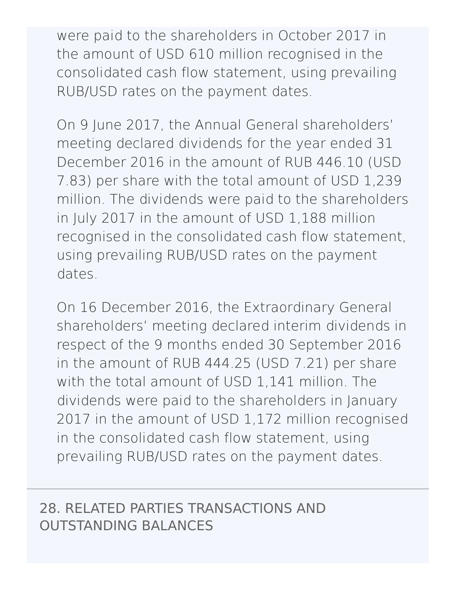were paid to the shareholders in October 2017 in the amount of USD 610 million recognised in the consolidated cash flow statement, using prevailing RUB/USD rates on the payment dates.

On 9 June 2017, the Annual General shareholders' meeting declared dividends for the year ended 31 December 2016 in the amount of RUB 446.10 (USD 7.83) per share with the total amount of USD 1,239 million. The dividends were paid to the shareholders in July 2017 in the amount of USD 1,188 million recognised in the consolidated cash flow statement, using prevailing RUB/USD rates on the payment dates.

On 16 December 2016, the Extraordinary General shareholders' meeting declared interim dividends in respect of the 9 months ended 30 September 2016 in the amount of RUB 444.25 (USD 7.21) per share with the total amount of USD 1,141 million. The dividends were paid to the shareholders in January 2017 in the amount of USD 1,172 million recognised in the consolidated cash flow statement, using prevailing RUB/USD rates on the payment dates.

28. RELATED PARTIES [TRANSACTIONS](http://127.0.0.1:8089/ar/en/financial-overview/ifrs/statements#note-28) AND OUTSTANDING BALANCES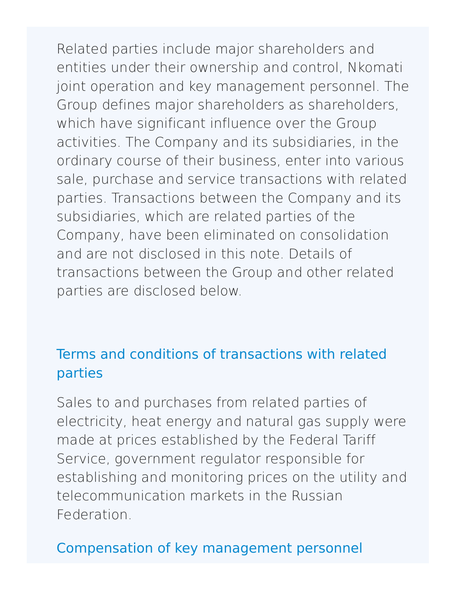Related parties include major shareholders and entities under their ownership and control, Nkomati joint operation and key management personnel. The Group defines major shareholders as shareholders, which have significant influence over the Group activities. The Company and its subsidiaries, in the ordinary course of their business, enter into various sale, purchase and service transactions with related parties. Transactions between the Company and its subsidiaries, which are related parties of the Company, have been eliminated on consolidation and are not disclosed in this note. Details of transactions between the Group and other related parties are disclosed below.

# Terms and conditions of transactions with related parties

Sales to and purchases from related parties of electricity, heat energy and natural gas supply were made at prices established by the Federal Tariff Service, government regulator responsible for establishing and monitoring prices on the utility and telecommunication markets in the Russian Federation.

# Compensation of key management personnel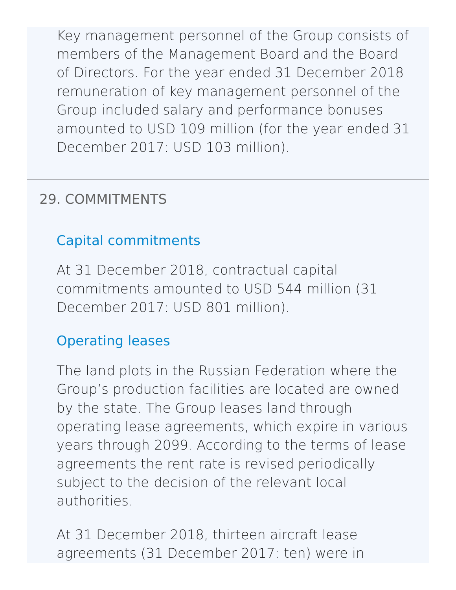Key management personnel of the Group consists of members of the Management Board and the Board of Directors. For the year ended 31 December 2018 remuneration of key management personnel of the Group included salary and performance bonuses amounted to USD 109 million (for the year ended 31 December 2017: USD 103 million).

# 29. [COMMITMENTS](http://127.0.0.1:8089/ar/en/financial-overview/ifrs/statements#note-29)

## Capital commitments

At 31 December 2018, contractual capital commitments amounted to USD 544 million (31 December 2017: USD 801 million).

## Operating leases

The land plots in the Russian Federation where the Group's production facilities are located are owned by the state. The Group leases land through operating lease agreements, which expire in various years through 2099. According to the terms of lease agreements the rent rate is revised periodically subject to the decision of the relevant local authorities.

At 31 December 2018, thirteen aircraft lease agreements (31 December 2017: ten) were in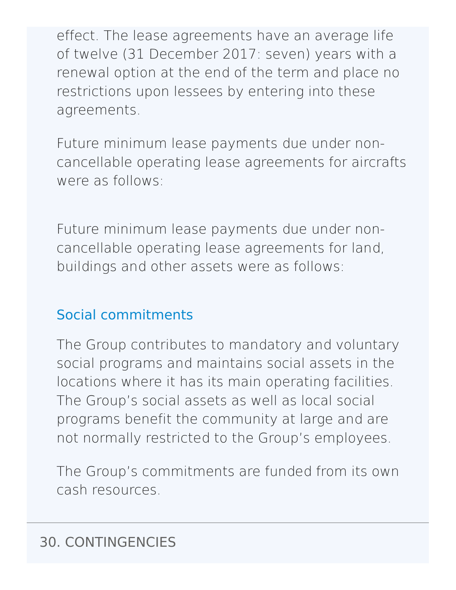effect. The lease agreements have an average life of twelve (31 December 2017: seven) years with a renewal option at the end of the term and place no restrictions upon lessees by entering into these agreements.

Future minimum lease payments due under noncancellable operating lease agreements for aircrafts were as follows:

Future minimum lease payments due under noncancellable operating lease agreements for land, buildings and other assets were as follows:

# Social commitments

The Group contributes to mandatory and voluntary social programs and maintains social assets in the locations where it has its main operating facilities. The Group's social assets as well as local social programs benefit the community at large and are not normally restricted to the Group's employees.

The Group's commitments are funded from its own cash resources.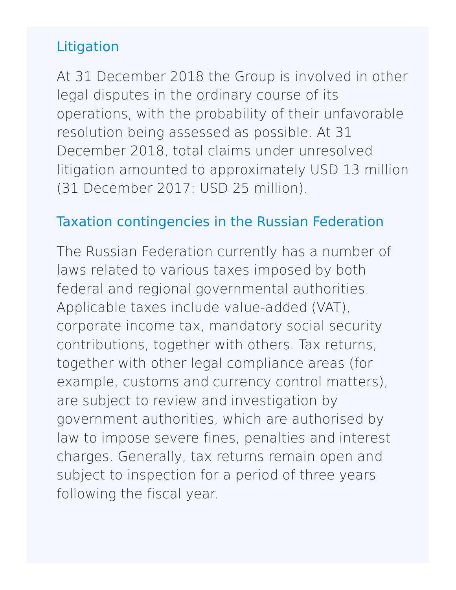## Litigation

At 31 December 2018 the Group is involved in other legal disputes in the ordinary course of its operations, with the probability of their unfavorable resolution being assessed as possible. At 31 December 2018, total claims under unresolved litigation amounted to approximately USD 13 million (31 December 2017: USD 25 million).

## Taxation contingencies in the Russian Federation

The Russian Federation currently has a number of laws related to various taxes imposed by both federal and regional governmental authorities. Applicable taxes include value-added (VAT), corporate income tax, mandatory social security contributions, together with others. Tax returns, together with other legal compliance areas (for example, customs and currency control matters), are subject to review and investigation by government authorities, which are authorised by law to impose severe fines, penalties and interest charges. Generally, tax returns remain open and subject to inspection for a period of three years following the fiscal year.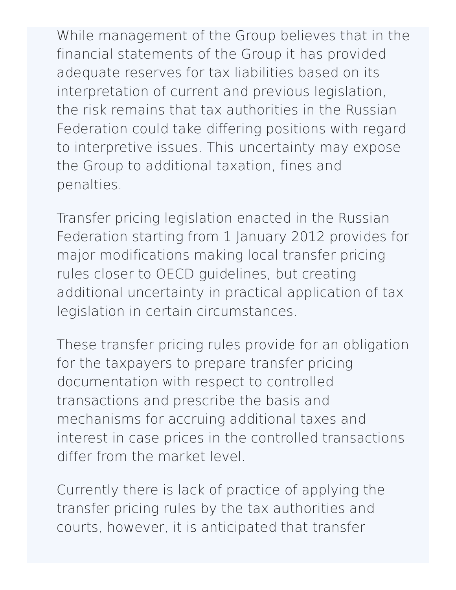While management of the Group believes that in the financial statements of the Group it has provided adequate reserves for tax liabilities based on its interpretation of current and previous legislation, the risk remains that tax authorities in the Russian Federation could take differing positions with regard to interpretive issues. This uncertainty may expose the Group to additional taxation, fines and penalties.

Transfer pricing legislation enacted in the Russian Federation starting from 1 January 2012 provides for major modifications making local transfer pricing rules closer to OECD guidelines, but creating additional uncertainty in practical application of tax legislation in certain circumstances.

These transfer pricing rules provide for an obligation for the taxpayers to prepare transfer pricing documentation with respect to controlled transactions and prescribe the basis and mechanisms for accruing additional taxes and interest in case prices in the controlled transactions differ from the market level.

Currently there is lack of practice of applying the transfer pricing rules by the tax authorities and courts, however, it is anticipated that transfer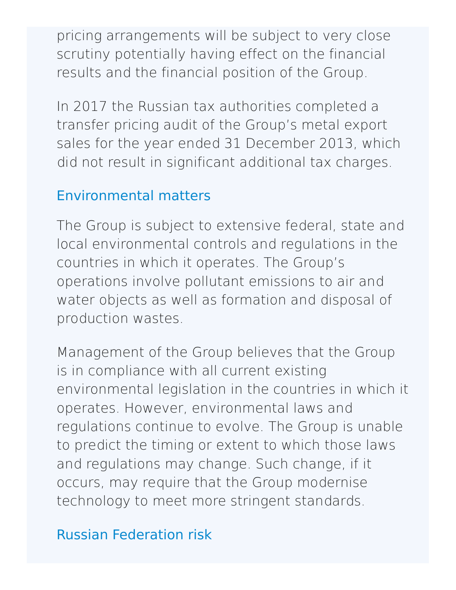pricing arrangements will be subject to very close scrutiny potentially having effect on the financial results and the financial position of the Group.

In 2017 the Russian tax authorities completed a transfer pricing audit of the Group's metal export sales for the year ended 31 December 2013, which did not result in significant additional tax charges.

#### Environmental matters

The Group is subject to extensive federal, state and local environmental controls and regulations in the countries in which it operates. The Group's operations involve pollutant emissions to air and water objects as well as formation and disposal of production wastes.

Management of the Group believes that the Group is in compliance with all current existing environmental legislation in the countries in which it operates. However, environmental laws and regulations continue to evolve. The Group is unable to predict the timing or extent to which those laws and regulations may change. Such change, if it occurs, may require that the Group modernise technology to meet more stringent standards.

## Russian Federation risk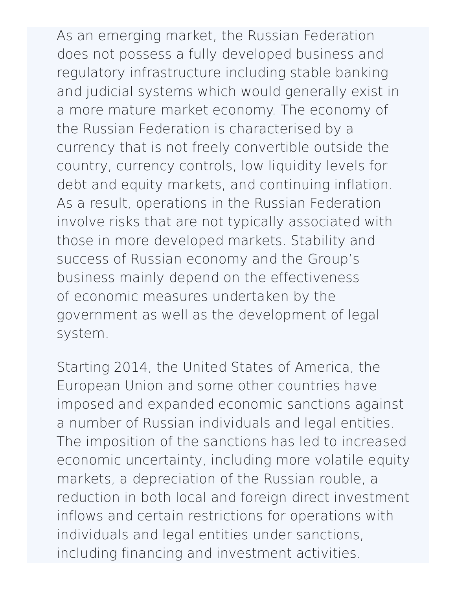As an emerging market, the Russian Federation does not possess a fully developed business and regulatory infrastructure including stable banking and judicial systems which would generally exist in a more mature market economy. The economy of the Russian Federation is characterised by a currency that is not freely convertible outside the country, currency controls, low liquidity levels for debt and equity markets, and continuing inflation. As a result, operations in the Russian Federation involve risks that are not typically associated with those in more developed markets. Stability and success of Russian economy and the Group's business mainly depend on the effectiveness of economic measures undertaken by the government as well as the development of legal system.

Starting 2014, the United States of America, the European Union and some other countries have imposed and expanded economic sanctions against a number of Russian individuals and legal entities. The imposition of the sanctions has led to increased economic uncertainty, including more volatile equity markets, a depreciation of the Russian rouble, a reduction in both local and foreign direct investment inflows and certain restrictions for operations with individuals and legal entities under sanctions, including financing and investment activities.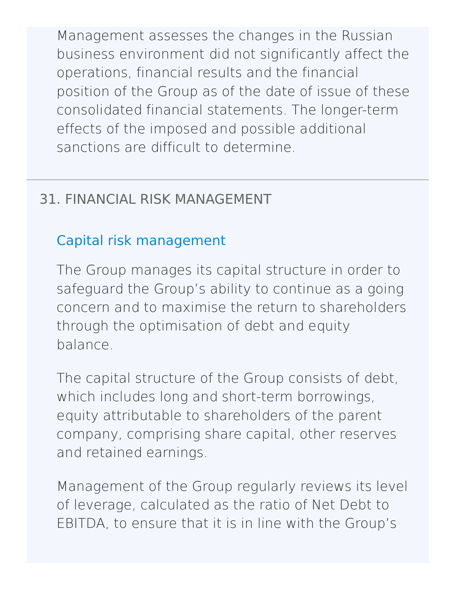Management assesses the changes in the Russian business environment did not significantly affect the operations, financial results and the financial position of the Group as of the date of issue of these consolidated financial statements. The longer-term effects of the imposed and possible additional sanctions are difficult to determine.

## 31. FINANCIAL RISK [MANAGEMENT](http://127.0.0.1:8089/ar/en/financial-overview/ifrs/statements#note-31)

### Capital risk management

The Group manages its capital structure in order to safeguard the Group's ability to continue as a going concern and to maximise the return to shareholders through the optimisation of debt and equity balance.

The capital structure of the Group consists of debt, which includes long and short-term borrowings, equity attributable to shareholders of the parent company, comprising share capital, other reserves and retained earnings.

Management of the Group regularly reviews its level of leverage, calculated as the ratio of Net Debt to EBITDA, to ensure that it is in line with the Group's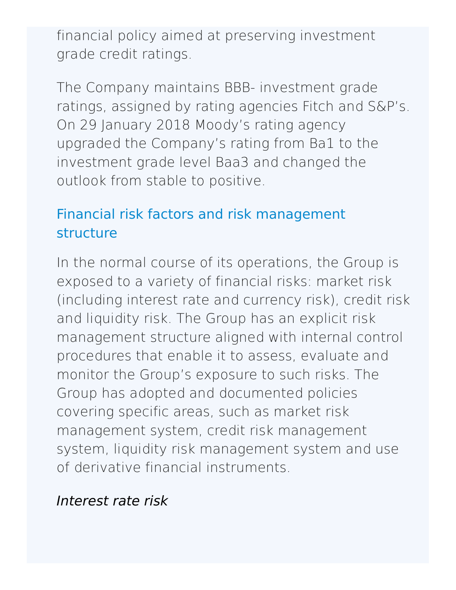financial policy aimed at preserving investment grade credit ratings.

The Сompany maintains BBB- investment grade ratings, assigned by rating agencies Fitch and S&P's. On 29 January 2018 Moody's rating agency upgraded the Company's rating from Ba1 to the investment grade level Baa3 and changed the outlook from stable to positive.

## Financial risk factors and risk management structure

In the normal course of its operations, the Group is exposed to a variety of financial risks: market risk (including interest rate and currency risk), credit risk and liquidity risk. The Group has an explicit risk management structure aligned with internal control procedures that enable it to assess, evaluate and monitor the Group's exposure to such risks. The Group has adopted and documented policies covering specific areas, such as market risk management system, credit risk management system, liquidity risk management system and use of derivative financial instruments.

### Interest rate risk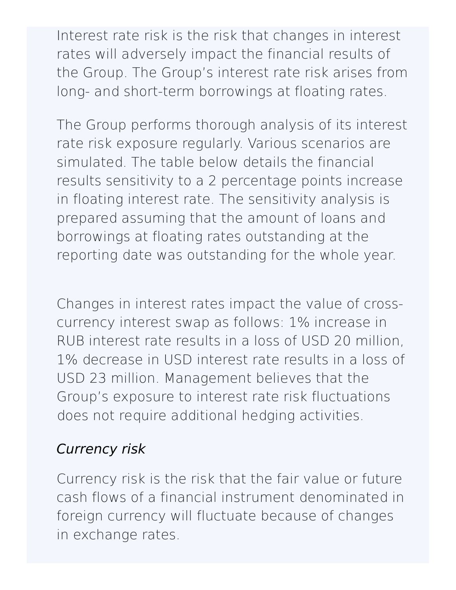Interest rate risk is the risk that changes in interest rates will adversely impact the financial results of the Group. The Group's interest rate risk arises from long- and short-term borrowings at floating rates.

The Group performs thorough analysis of its interest rate risk exposure regularly. Various scenarios are simulated. The table below details the financial results sensitivity to a 2 percentage points increase in floating interest rate. The sensitivity analysis is prepared assuming that the amount of loans and borrowings at floating rates outstanding at the reporting date was outstanding for the whole year.

Changes in interest rates impact the value of crosscurrency interest swap as follows: 1% increase in RUB interest rate results in a loss of USD 20 million, 1% decrease in USD interest rate results in a loss of USD 23 million. Management believes that the Group's exposure to interest rate risk fluctuations does not require additional hedging activities.

## Currency risk

Currency risk is the risk that the fair value or future cash flows of a financial instrument denominated in foreign currency will fluctuate because of changes in exchange rates.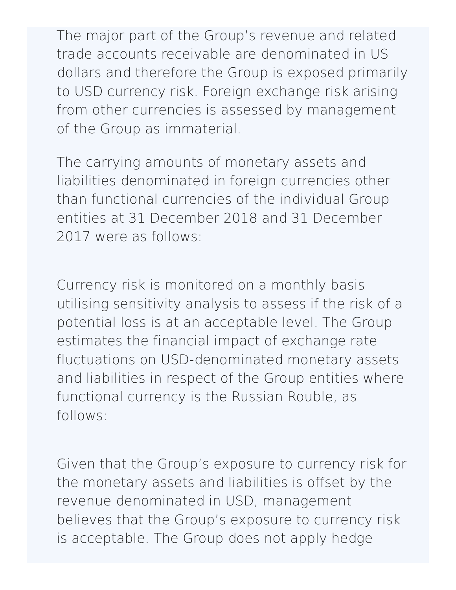The major part of the Group's revenue and related trade accounts receivable are denominated in US dollars and therefore the Group is exposed primarily to USD currency risk. Foreign exchange risk arising from other currencies is assessed by management of the Group as immaterial.

The carrying amounts of monetary assets and liabilities denominated in foreign currencies other than functional currencies of the individual Group entities at 31 December 2018 and 31 December 2017 were as follows:

Currency risk is monitored on a monthly basis utilising sensitivity analysis to assess if the risk of a potential loss is at an acceptable level. The Group estimates the financial impact of exchange rate fluctuations on USD-denominated monetary assets and liabilities in respect of the Group entities where functional currency is the Russian Rouble, as follows:

Given that the Group's exposure to currency risk for the monetary assets and liabilities is offset by the revenue denominated in USD, management believes that the Group's exposure to currency risk is acceptable. The Group does not apply hedge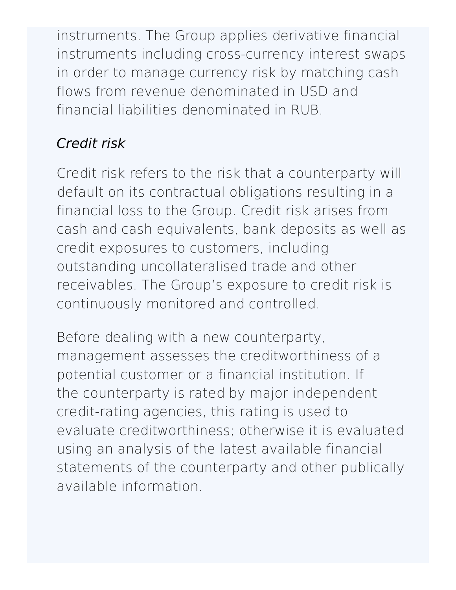instruments. The Group applies derivative financial instruments including cross-currency interest swaps in order to manage currency risk by matching cash flows from revenue denominated in USD and financial liabilities denominated in RUB.

# Credit risk

Credit risk refers to the risk that a counterparty will default on its contractual obligations resulting in a financial loss to the Group. Credit risk arises from cash and cash equivalents, bank deposits as well as credit exposures to customers, including outstanding uncollateralised trade and other receivables. The Group's exposure to credit risk is continuously monitored and controlled.

Before dealing with a new counterparty, management assesses the creditworthiness of a potential customer or a financial institution. If the counterparty is rated by major independent credit-rating agencies, this rating is used to evaluate creditworthiness; otherwise it is evaluated using an analysis of the latest available financial statements of the counterparty and other publically available information.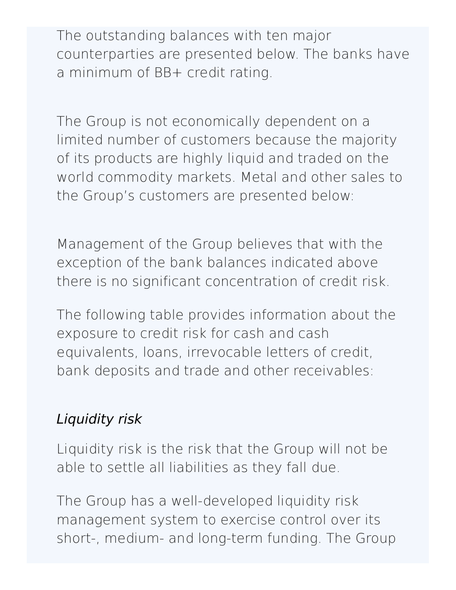The outstanding balances with ten major counterparties are presented below. The banks have a minimum of BB+ credit rating.

The Group is not economically dependent on a limited number of customers because the majority of its products are highly liquid and traded on the world commodity markets. Metal and other sales to the Group's customers are presented below:

Management of the Group believes that with the exception of the bank balances indicated above there is no significant concentration of credit risk.

The following table provides information about the exposure to credit risk for cash and cash equivalents, loans, irrevocable letters of credit, bank deposits and trade and other receivables:

## Liquidity risk

Liquidity risk is the risk that the Group will not be able to settle all liabilities as they fall due.

The Group has a well-developed liquidity risk management system to exercise control over its short-, medium- and long-term funding. The Group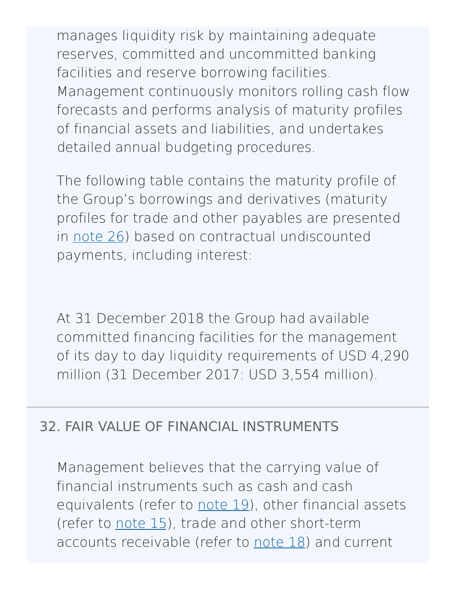manages liquidity risk by maintaining adequate reserves, committed and uncommitted banking facilities and reserve borrowing facilities. Management continuously monitors rolling cash flow forecasts and performs analysis of maturity profiles of financial assets and liabilities, and undertakes detailed annual budgeting procedures.

The following table contains the maturity profile of the Group's borrowings and derivatives (maturity profiles for trade and other payables are presented in [note](http://127.0.0.1:8089/ar/en/financial-overview/ifrs/statements#note-26) 26) based on contractual undiscounted payments, including interest:

At 31 December 2018 the Group had available committed financing facilities for the management of its day to day liquidity requirements of USD 4,290 million (31 December 2017: USD 3,554 million).

### 32. FAIR VALUE OF FINANCIAL [INSTRUMENTS](http://127.0.0.1:8089/ar/en/financial-overview/ifrs/statements#note-32)

Management believes that the carrying value of financial instruments such as cash and cash equivalents (refer to [note](http://127.0.0.1:8089/ar/en/financial-overview/ifrs/statements#note-19) 19), other financial assets (refer to [note](http://127.0.0.1:8089/ar/en/financial-overview/ifrs/statements#note-15) 15), trade and other short-term accounts receivable (refer to [note](http://127.0.0.1:8089/ar/en/financial-overview/ifrs/statements#note-18) 18) and current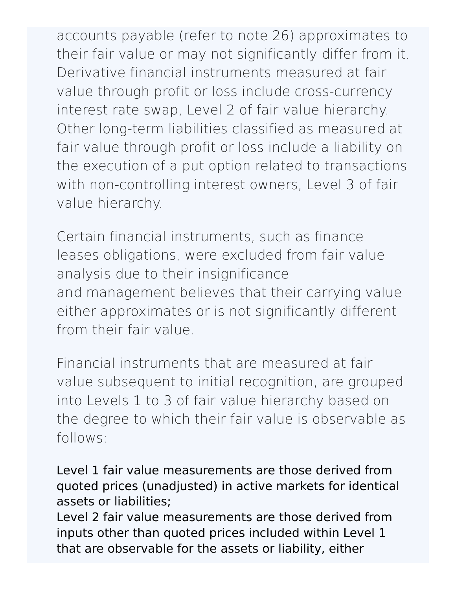accounts payable (refer to note 26) approximates to their fair value or may not significantly differ from it. Derivative financial instruments measured at fair value through profit or loss include cross-currency interest rate swap, Level 2 of fair value hierarchy. Other long-term liabilities classified as measured at fair value through profit or loss include a liability on the execution of a put option related to transactions with non-controlling interest owners, Level 3 of fair value hierarchy.

Certain financial instruments, such as finance leases obligations, were excluded from fair value analysis due to their insignificance and management believes that their carrying value either approximates or is not significantly different from their fair value.

Financial instruments that are measured at fair value subsequent to initial recognition, are grouped into Levels 1 to 3 of fair value hierarchy based on the degree to which their fair value is observable as follows:

Level 1 fair value measurements are those derived from quoted prices (unadjusted) in active markets for identical assets or liabilities;

Level 2 fair value measurements are those derived from inputs other than quoted prices included within Level 1 that are observable for the assets or liability, either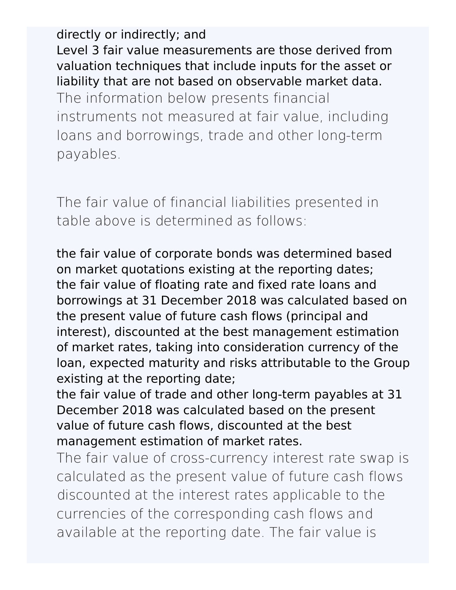directly or indirectly; and Level 3 fair value measurements are those derived from valuation techniques that include inputs for the asset or liability that are not based on observable market data. The information below presents financial instruments not measured at fair value, including loans and borrowings, trade and other long-term payables.

The fair value of financial liabilities presented in table above is determined as follows:

the fair value of corporate bonds was determined based on market quotations existing at the reporting dates; the fair value of floating rate and fixed rate loans and borrowings at 31 December 2018 was calculated based on the present value of future cash flows (principal and interest), discounted at the best management estimation of market rates, taking into consideration currency of the loan, expected maturity and risks attributable to the Group existing at the reporting date;

the fair value of trade and other long-term payables at 31 December 2018 was calculated based on the present value of future cash flows, discounted at the best management estimation of market rates.

The fair value of cross-currency interest rate swap is calculated as the present value of future cash flows discounted at the interest rates applicable to the currencies of the corresponding cash flows and available at the reporting date. The fair value is